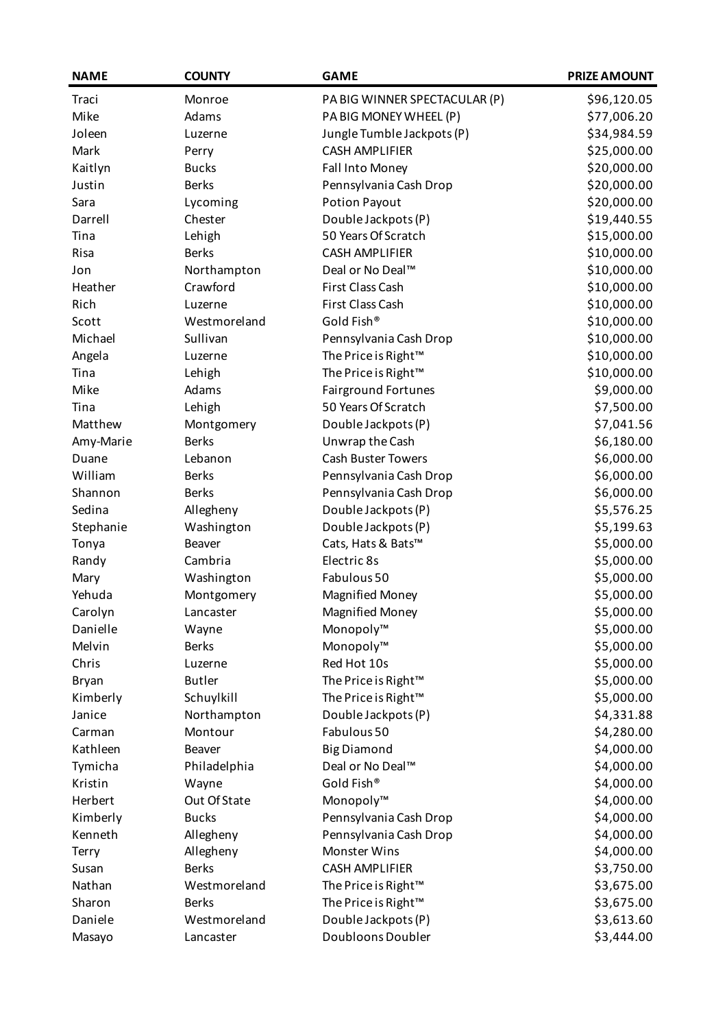| <b>NAME</b>  | <b>COUNTY</b> | <b>GAME</b>                     | <b>PRIZE AMOUNT</b> |
|--------------|---------------|---------------------------------|---------------------|
| Traci        | Monroe        | PA BIG WINNER SPECTACULAR (P)   | \$96,120.05         |
| Mike         | Adams         | PA BIG MONEY WHEEL (P)          | \$77,006.20         |
| Joleen       | Luzerne       | Jungle Tumble Jackpots (P)      | \$34,984.59         |
| Mark         | Perry         | <b>CASH AMPLIFIER</b>           | \$25,000.00         |
| Kaitlyn      | <b>Bucks</b>  | Fall Into Money                 | \$20,000.00         |
| Justin       | <b>Berks</b>  | Pennsylvania Cash Drop          | \$20,000.00         |
| Sara         | Lycoming      | <b>Potion Payout</b>            | \$20,000.00         |
| Darrell      | Chester       | Double Jackpots (P)             | \$19,440.55         |
| Tina         | Lehigh        | 50 Years Of Scratch             | \$15,000.00         |
| Risa         | <b>Berks</b>  | <b>CASH AMPLIFIER</b>           | \$10,000.00         |
| Jon          | Northampton   | Deal or No Deal™                | \$10,000.00         |
| Heather      | Crawford      | First Class Cash                | \$10,000.00         |
| Rich         | Luzerne       | First Class Cash                | \$10,000.00         |
| Scott        | Westmoreland  | Gold Fish®                      | \$10,000.00         |
| Michael      | Sullivan      | Pennsylvania Cash Drop          | \$10,000.00         |
| Angela       | Luzerne       | The Price is Right™             | \$10,000.00         |
| Tina         | Lehigh        | The Price is Right <sup>™</sup> | \$10,000.00         |
| Mike         | Adams         | <b>Fairground Fortunes</b>      | \$9,000.00          |
| Tina         | Lehigh        | 50 Years Of Scratch             | \$7,500.00          |
| Matthew      | Montgomery    | Double Jackpots (P)             | \$7,041.56          |
| Amy-Marie    | <b>Berks</b>  | Unwrap the Cash                 | \$6,180.00          |
| Duane        | Lebanon       | <b>Cash Buster Towers</b>       | \$6,000.00          |
| William      | <b>Berks</b>  | Pennsylvania Cash Drop          | \$6,000.00          |
| Shannon      | <b>Berks</b>  | Pennsylvania Cash Drop          | \$6,000.00          |
| Sedina       | Allegheny     | Double Jackpots (P)             | \$5,576.25          |
| Stephanie    | Washington    | Double Jackpots (P)             | \$5,199.63          |
| Tonya        | <b>Beaver</b> | Cats, Hats & Bats™              | \$5,000.00          |
| Randy        | Cambria       | Electric 8s                     | \$5,000.00          |
| Mary         | Washington    | Fabulous 50                     | \$5,000.00          |
| Yehuda       | Montgomery    | <b>Magnified Money</b>          | \$5,000.00          |
| Carolyn      | Lancaster     | <b>Magnified Money</b>          | \$5,000.00          |
| Danielle     | Wayne         | Monopoly™                       | \$5,000.00          |
| Melvin       | <b>Berks</b>  | Monopoly™                       | \$5,000.00          |
| Chris        | Luzerne       | Red Hot 10s                     | \$5,000.00          |
| <b>Bryan</b> | <b>Butler</b> | The Price is Right™             | \$5,000.00          |
| Kimberly     | Schuylkill    | The Price is Right™             | \$5,000.00          |
| Janice       | Northampton   | Double Jackpots (P)             | \$4,331.88          |
| Carman       | Montour       | Fabulous 50                     | \$4,280.00          |
| Kathleen     | Beaver        | <b>Big Diamond</b>              | \$4,000.00          |
| Tymicha      | Philadelphia  | Deal or No Deal™                | \$4,000.00          |
| Kristin      | Wayne         | Gold Fish®                      | \$4,000.00          |
| Herbert      | Out Of State  | Monopoly™                       | \$4,000.00          |
| Kimberly     | <b>Bucks</b>  | Pennsylvania Cash Drop          | \$4,000.00          |
| Kenneth      | Allegheny     | Pennsylvania Cash Drop          | \$4,000.00          |
| Terry        | Allegheny     | <b>Monster Wins</b>             | \$4,000.00          |
| Susan        | <b>Berks</b>  | <b>CASH AMPLIFIER</b>           | \$3,750.00          |
| Nathan       | Westmoreland  | The Price is Right™             | \$3,675.00          |
| Sharon       | <b>Berks</b>  | The Price is Right™             | \$3,675.00          |
| Daniele      | Westmoreland  | Double Jackpots (P)             | \$3,613.60          |
| Masayo       | Lancaster     | Doubloons Doubler               | \$3,444.00          |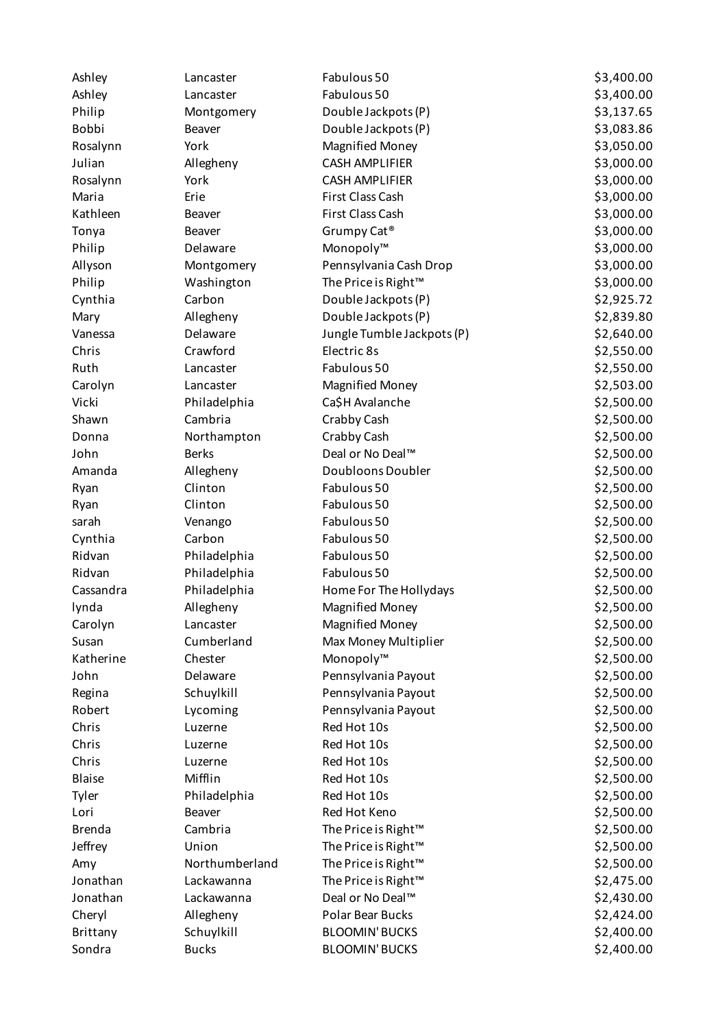| Ashley        | Lancaster      | Fabulous 50                | \$3,400.00 |
|---------------|----------------|----------------------------|------------|
| Ashley        | Lancaster      | Fabulous 50                | \$3,400.00 |
| Philip        | Montgomery     | Double Jackpots (P)        | \$3,137.65 |
| <b>Bobbi</b>  | Beaver         | Double Jackpots (P)        | \$3,083.86 |
| Rosalynn      | York           | <b>Magnified Money</b>     | \$3,050.00 |
| Julian        | Allegheny      | <b>CASH AMPLIFIER</b>      | \$3,000.00 |
| Rosalynn      | York           | <b>CASH AMPLIFIER</b>      | \$3,000.00 |
| Maria         | Erie           | First Class Cash           | \$3,000.00 |
| Kathleen      | Beaver         | First Class Cash           | \$3,000.00 |
| Tonya         | <b>Beaver</b>  | Grumpy Cat <sup>®</sup>    | \$3,000.00 |
| Philip        | Delaware       | Monopoly™                  | \$3,000.00 |
| Allyson       | Montgomery     | Pennsylvania Cash Drop     | \$3,000.00 |
| Philip        | Washington     | The Price is Right™        | \$3,000.00 |
| Cynthia       | Carbon         | Double Jackpots (P)        | \$2,925.72 |
| Mary          | Allegheny      | Double Jackpots (P)        | \$2,839.80 |
| Vanessa       | Delaware       | Jungle Tumble Jackpots (P) | \$2,640.00 |
| Chris         | Crawford       | Electric 8s                | \$2,550.00 |
| Ruth          | Lancaster      | Fabulous 50                | \$2,550.00 |
| Carolyn       | Lancaster      | <b>Magnified Money</b>     | \$2,503.00 |
| Vicki         | Philadelphia   | Ca\$H Avalanche            | \$2,500.00 |
| Shawn         | Cambria        | Crabby Cash                | \$2,500.00 |
| Donna         | Northampton    | Crabby Cash                | \$2,500.00 |
| John          | <b>Berks</b>   | Deal or No Deal™           | \$2,500.00 |
| Amanda        | Allegheny      | Doubloons Doubler          | \$2,500.00 |
| Ryan          | Clinton        | Fabulous 50                | \$2,500.00 |
| Ryan          | Clinton        | Fabulous 50                | \$2,500.00 |
| sarah         | Venango        | Fabulous 50                | \$2,500.00 |
| Cynthia       | Carbon         | Fabulous 50                | \$2,500.00 |
| Ridvan        | Philadelphia   | Fabulous 50                | \$2,500.00 |
| Ridvan        | Philadelphia   | Fabulous 50                | \$2,500.00 |
| Cassandra     | Philadelphia   | Home For The Hollydays     | \$2,500.00 |
| lynda         | Allegheny      | <b>Magnified Money</b>     | \$2,500.00 |
| Carolyn       | Lancaster      | <b>Magnified Money</b>     | \$2,500.00 |
| Susan         | Cumberland     | Max Money Multiplier       | \$2,500.00 |
| Katherine     | Chester        | Monopoly™                  | \$2,500.00 |
| John          | Delaware       | Pennsylvania Payout        | \$2,500.00 |
| Regina        | Schuylkill     | Pennsylvania Payout        | \$2,500.00 |
| Robert        | Lycoming       | Pennsylvania Payout        | \$2,500.00 |
| Chris         | Luzerne        | Red Hot 10s                | \$2,500.00 |
| Chris         | Luzerne        | Red Hot 10s                | \$2,500.00 |
| Chris         | Luzerne        | Red Hot 10s                | \$2,500.00 |
| <b>Blaise</b> | Mifflin        | Red Hot 10s                | \$2,500.00 |
| Tyler         | Philadelphia   | Red Hot 10s                | \$2,500.00 |
| Lori          | Beaver         | Red Hot Keno               | \$2,500.00 |
| <b>Brenda</b> | Cambria        | The Price is Right™        | \$2,500.00 |
| Jeffrey       | Union          | The Price is Right™        | \$2,500.00 |
| Amy           | Northumberland | The Price is Right™        | \$2,500.00 |
| Jonathan      | Lackawanna     | The Price is Right™        | \$2,475.00 |
| Jonathan      | Lackawanna     | Deal or No Deal™           | \$2,430.00 |
| Cheryl        | Allegheny      | Polar Bear Bucks           | \$2,424.00 |
| Brittany      | Schuylkill     | <b>BLOOMIN' BUCKS</b>      | \$2,400.00 |
| Sondra        | <b>Bucks</b>   | <b>BLOOMIN' BUCKS</b>      | \$2,400.00 |
|               |                |                            |            |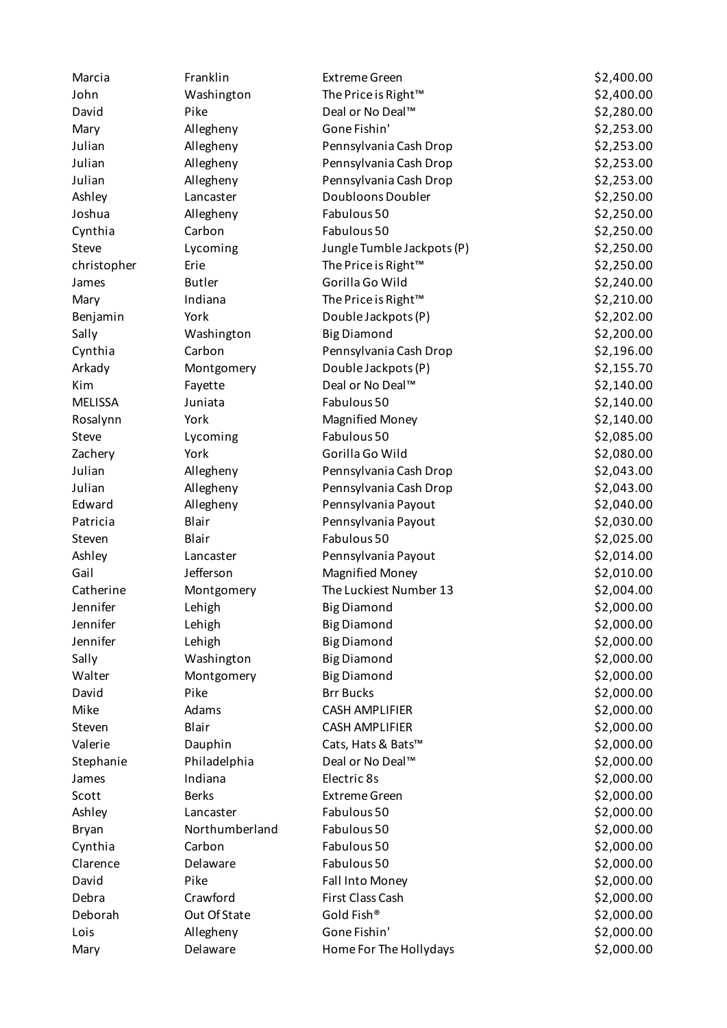| Marcia         | Franklin       | <b>Extreme Green</b>            | \$2,400.00 |
|----------------|----------------|---------------------------------|------------|
| John           | Washington     | The Price is Right™             | \$2,400.00 |
| David          | Pike           | Deal or No Deal™                | \$2,280.00 |
| Mary           | Allegheny      | Gone Fishin'                    | \$2,253.00 |
| Julian         | Allegheny      | Pennsylvania Cash Drop          | \$2,253.00 |
| Julian         | Allegheny      | Pennsylvania Cash Drop          | \$2,253.00 |
| Julian         | Allegheny      | Pennsylvania Cash Drop          | \$2,253.00 |
| Ashley         | Lancaster      | Doubloons Doubler               | \$2,250.00 |
| Joshua         | Allegheny      | Fabulous 50                     | \$2,250.00 |
| Cynthia        | Carbon         | Fabulous 50                     | \$2,250.00 |
| Steve          | Lycoming       | Jungle Tumble Jackpots (P)      | \$2,250.00 |
| christopher    | Erie           | The Price is Right™             | \$2,250.00 |
| James          | <b>Butler</b>  | Gorilla Go Wild                 | \$2,240.00 |
| Mary           | Indiana        | The Price is Right <sup>™</sup> | \$2,210.00 |
| Benjamin       | York           | Double Jackpots (P)             | \$2,202.00 |
| Sally          | Washington     | <b>Big Diamond</b>              | \$2,200.00 |
| Cynthia        | Carbon         | Pennsylvania Cash Drop          | \$2,196.00 |
| Arkady         | Montgomery     | Double Jackpots (P)             | \$2,155.70 |
| Kim            | Fayette        | Deal or No Deal™                | \$2,140.00 |
| <b>MELISSA</b> | Juniata        | Fabulous 50                     | \$2,140.00 |
| Rosalynn       | York           | <b>Magnified Money</b>          | \$2,140.00 |
| Steve          | Lycoming       | Fabulous 50                     | \$2,085.00 |
| Zachery        | York           | Gorilla Go Wild                 | \$2,080.00 |
| Julian         | Allegheny      | Pennsylvania Cash Drop          | \$2,043.00 |
| Julian         | Allegheny      | Pennsylvania Cash Drop          | \$2,043.00 |
| Edward         | Allegheny      | Pennsylvania Payout             | \$2,040.00 |
| Patricia       | Blair          | Pennsylvania Payout             | \$2,030.00 |
| Steven         | Blair          | Fabulous 50                     | \$2,025.00 |
| Ashley         | Lancaster      | Pennsylvania Payout             | \$2,014.00 |
| Gail           | Jefferson      | <b>Magnified Money</b>          | \$2,010.00 |
| Catherine      | Montgomery     | The Luckiest Number 13          | \$2,004.00 |
| Jennifer       | Lehigh         | <b>Big Diamond</b>              | \$2,000.00 |
| Jennifer       | Lehigh         | <b>Big Diamond</b>              | \$2,000.00 |
| Jennifer       | Lehigh         | <b>Big Diamond</b>              | \$2,000.00 |
| Sally          | Washington     | <b>Big Diamond</b>              | \$2,000.00 |
| Walter         | Montgomery     | <b>Big Diamond</b>              | \$2,000.00 |
| David          | Pike           | <b>Brr Bucks</b>                | \$2,000.00 |
| Mike           | Adams          | <b>CASH AMPLIFIER</b>           | \$2,000.00 |
| Steven         | Blair          | <b>CASH AMPLIFIER</b>           | \$2,000.00 |
| Valerie        | Dauphin        | Cats, Hats & Bats™              | \$2,000.00 |
| Stephanie      | Philadelphia   | Deal or No Deal™                | \$2,000.00 |
| James          | Indiana        | Electric 8s                     | \$2,000.00 |
| Scott          | <b>Berks</b>   | <b>Extreme Green</b>            | \$2,000.00 |
| Ashley         | Lancaster      | Fabulous 50                     | \$2,000.00 |
| Bryan          | Northumberland | Fabulous 50                     | \$2,000.00 |
| Cynthia        | Carbon         | Fabulous 50                     | \$2,000.00 |
| Clarence       | Delaware       | Fabulous 50                     | \$2,000.00 |
| David          | Pike           | Fall Into Money                 | \$2,000.00 |
| Debra          | Crawford       | First Class Cash                | \$2,000.00 |
| Deborah        | Out Of State   | Gold Fish®                      | \$2,000.00 |
| Lois           | Allegheny      | Gone Fishin'                    | \$2,000.00 |
| Mary           | Delaware       | Home For The Hollydays          | \$2,000.00 |
|                |                |                                 |            |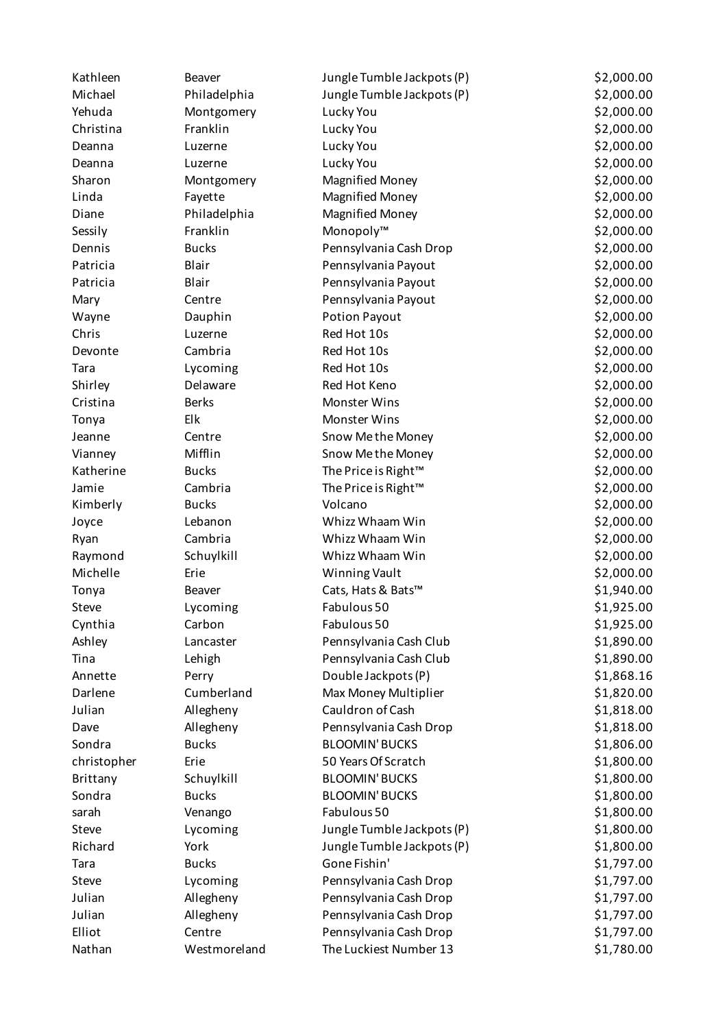| Kathleen    | Beaver       | Jungle Tumble Jackpots (P)      | \$2,000.00 |
|-------------|--------------|---------------------------------|------------|
| Michael     | Philadelphia | Jungle Tumble Jackpots (P)      | \$2,000.00 |
| Yehuda      | Montgomery   | Lucky You                       | \$2,000.00 |
| Christina   | Franklin     | Lucky You                       | \$2,000.00 |
| Deanna      | Luzerne      | Lucky You                       | \$2,000.00 |
| Deanna      | Luzerne      | Lucky You                       | \$2,000.00 |
| Sharon      | Montgomery   | <b>Magnified Money</b>          | \$2,000.00 |
| Linda       | Fayette      | <b>Magnified Money</b>          | \$2,000.00 |
| Diane       | Philadelphia | <b>Magnified Money</b>          | \$2,000.00 |
| Sessily     | Franklin     | Monopoly™                       | \$2,000.00 |
| Dennis      | <b>Bucks</b> | Pennsylvania Cash Drop          | \$2,000.00 |
| Patricia    | Blair        | Pennsylvania Payout             | \$2,000.00 |
| Patricia    | Blair        | Pennsylvania Payout             | \$2,000.00 |
| Mary        | Centre       | Pennsylvania Payout             | \$2,000.00 |
| Wayne       | Dauphin      | <b>Potion Payout</b>            | \$2,000.00 |
| Chris       | Luzerne      | Red Hot 10s                     | \$2,000.00 |
| Devonte     | Cambria      | Red Hot 10s                     | \$2,000.00 |
| Tara        | Lycoming     | Red Hot 10s                     | \$2,000.00 |
| Shirley     | Delaware     | Red Hot Keno                    | \$2,000.00 |
| Cristina    | <b>Berks</b> | <b>Monster Wins</b>             | \$2,000.00 |
| Tonya       | Elk          | <b>Monster Wins</b>             | \$2,000.00 |
| Jeanne      | Centre       | Snow Me the Money               | \$2,000.00 |
| Vianney     | Mifflin      | Snow Me the Money               | \$2,000.00 |
| Katherine   | <b>Bucks</b> | The Price is Right <sup>™</sup> | \$2,000.00 |
| Jamie       | Cambria      | The Price is Right™             | \$2,000.00 |
| Kimberly    | <b>Bucks</b> | Volcano                         | \$2,000.00 |
| Joyce       | Lebanon      | Whizz Whaam Win                 | \$2,000.00 |
| Ryan        | Cambria      | Whizz Whaam Win                 | \$2,000.00 |
| Raymond     | Schuylkill   | Whizz Whaam Win                 | \$2,000.00 |
| Michelle    | Erie         | Winning Vault                   | \$2,000.00 |
| Tonya       | Beaver       | Cats, Hats & Bats™              | \$1,940.00 |
| Steve       | Lycoming     | Fabulous 50                     | \$1,925.00 |
| Cynthia     | Carbon       | Fabulous 50                     | \$1,925.00 |
| Ashley      | Lancaster    | Pennsylvania Cash Club          | \$1,890.00 |
| Tina        | Lehigh       | Pennsylvania Cash Club          | \$1,890.00 |
| Annette     | Perry        | Double Jackpots (P)             | \$1,868.16 |
| Darlene     | Cumberland   | Max Money Multiplier            | \$1,820.00 |
| Julian      | Allegheny    | Cauldron of Cash                | \$1,818.00 |
| Dave        | Allegheny    | Pennsylvania Cash Drop          | \$1,818.00 |
| Sondra      | <b>Bucks</b> | <b>BLOOMIN' BUCKS</b>           | \$1,806.00 |
| christopher | Erie         | 50 Years Of Scratch             | \$1,800.00 |
| Brittany    | Schuylkill   | <b>BLOOMIN' BUCKS</b>           | \$1,800.00 |
| Sondra      | <b>Bucks</b> | <b>BLOOMIN' BUCKS</b>           | \$1,800.00 |
| sarah       | Venango      | Fabulous 50                     | \$1,800.00 |
| Steve       | Lycoming     | Jungle Tumble Jackpots (P)      | \$1,800.00 |
| Richard     | York         | Jungle Tumble Jackpots (P)      | \$1,800.00 |
| Tara        | <b>Bucks</b> | Gone Fishin'                    | \$1,797.00 |
| Steve       | Lycoming     | Pennsylvania Cash Drop          | \$1,797.00 |
| Julian      | Allegheny    | Pennsylvania Cash Drop          | \$1,797.00 |
| Julian      | Allegheny    | Pennsylvania Cash Drop          | \$1,797.00 |
| Elliot      | Centre       | Pennsylvania Cash Drop          | \$1,797.00 |
| Nathan      | Westmoreland | The Luckiest Number 13          | \$1,780.00 |
|             |              |                                 |            |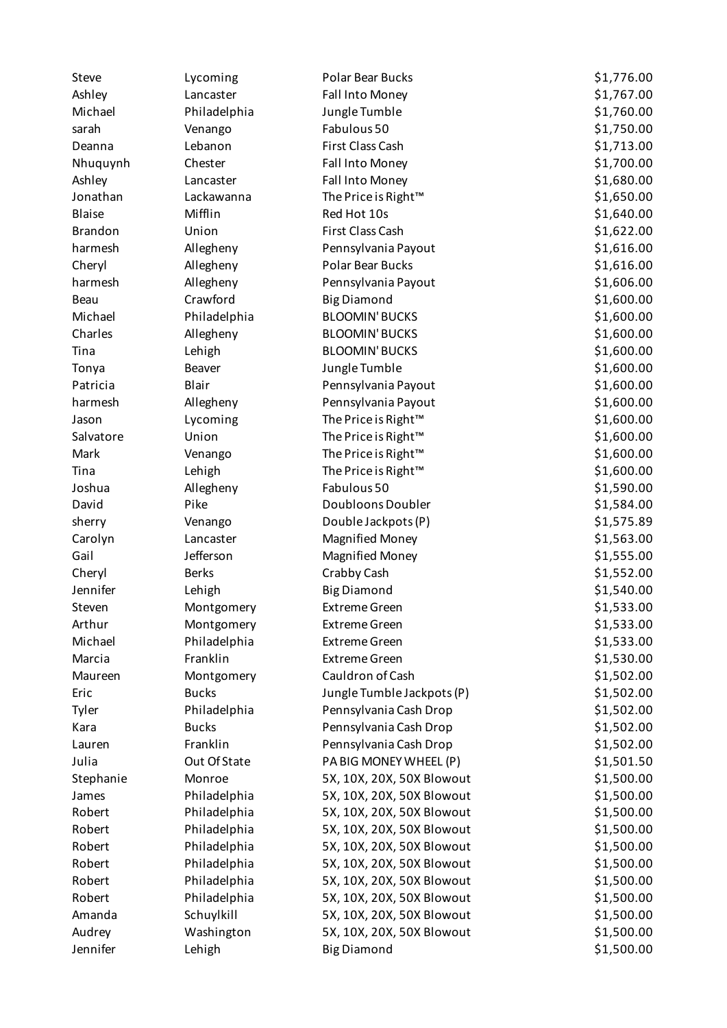| Steve          | Lycoming     | Polar Bear Bucks                | \$1,776.00 |
|----------------|--------------|---------------------------------|------------|
| Ashley         | Lancaster    | Fall Into Money                 | \$1,767.00 |
| Michael        | Philadelphia | Jungle Tumble                   | \$1,760.00 |
| sarah          | Venango      | Fabulous 50                     | \$1,750.00 |
| Deanna         | Lebanon      | First Class Cash                | \$1,713.00 |
| Nhuquynh       | Chester      | Fall Into Money                 | \$1,700.00 |
| Ashley         | Lancaster    | Fall Into Money                 | \$1,680.00 |
| Jonathan       | Lackawanna   | The Price is Right <sup>™</sup> | \$1,650.00 |
| <b>Blaise</b>  | Mifflin      | Red Hot 10s                     | \$1,640.00 |
| <b>Brandon</b> | Union        | First Class Cash                | \$1,622.00 |
| harmesh        | Allegheny    | Pennsylvania Payout             | \$1,616.00 |
| Cheryl         | Allegheny    | Polar Bear Bucks                | \$1,616.00 |
| harmesh        | Allegheny    | Pennsylvania Payout             | \$1,606.00 |
| Beau           | Crawford     | <b>Big Diamond</b>              | \$1,600.00 |
| Michael        | Philadelphia | <b>BLOOMIN' BUCKS</b>           | \$1,600.00 |
| Charles        | Allegheny    | <b>BLOOMIN' BUCKS</b>           | \$1,600.00 |
| Tina           | Lehigh       | <b>BLOOMIN' BUCKS</b>           | \$1,600.00 |
| Tonya          | Beaver       | Jungle Tumble                   | \$1,600.00 |
| Patricia       | Blair        | Pennsylvania Payout             | \$1,600.00 |
| harmesh        | Allegheny    | Pennsylvania Payout             | \$1,600.00 |
| Jason          | Lycoming     | The Price is Right <sup>™</sup> | \$1,600.00 |
| Salvatore      | Union        | The Price is Right <sup>™</sup> | \$1,600.00 |
| Mark           | Venango      | The Price is Right™             | \$1,600.00 |
| Tina           | Lehigh       | The Price is Right™             | \$1,600.00 |
| Joshua         | Allegheny    | Fabulous 50                     | \$1,590.00 |
| David          | Pike         | Doubloons Doubler               | \$1,584.00 |
| sherry         | Venango      | Double Jackpots (P)             | \$1,575.89 |
| Carolyn        | Lancaster    | <b>Magnified Money</b>          | \$1,563.00 |
| Gail           | Jefferson    | <b>Magnified Money</b>          | \$1,555.00 |
| Cheryl         | <b>Berks</b> | Crabby Cash                     | \$1,552.00 |
| Jennifer       | Lehigh       | <b>Big Diamond</b>              | \$1,540.00 |
| Steven         | Montgomery   | <b>Extreme Green</b>            | \$1,533.00 |
| Arthur         | Montgomery   | <b>Extreme Green</b>            | \$1,533.00 |
| Michael        | Philadelphia | <b>Extreme Green</b>            | \$1,533.00 |
| Marcia         | Franklin     | <b>Extreme Green</b>            | \$1,530.00 |
| Maureen        | Montgomery   | Cauldron of Cash                | \$1,502.00 |
| Eric           | <b>Bucks</b> | Jungle Tumble Jackpots (P)      | \$1,502.00 |
| Tyler          | Philadelphia | Pennsylvania Cash Drop          | \$1,502.00 |
| Kara           | <b>Bucks</b> | Pennsylvania Cash Drop          | \$1,502.00 |
| Lauren         | Franklin     | Pennsylvania Cash Drop          | \$1,502.00 |
| Julia          | Out Of State | PA BIG MONEY WHEEL (P)          | \$1,501.50 |
| Stephanie      | Monroe       | 5X, 10X, 20X, 50X Blowout       | \$1,500.00 |
| James          | Philadelphia | 5X, 10X, 20X, 50X Blowout       | \$1,500.00 |
| Robert         | Philadelphia | 5X, 10X, 20X, 50X Blowout       | \$1,500.00 |
| Robert         | Philadelphia | 5X, 10X, 20X, 50X Blowout       | \$1,500.00 |
| Robert         | Philadelphia | 5X, 10X, 20X, 50X Blowout       | \$1,500.00 |
| Robert         | Philadelphia | 5X, 10X, 20X, 50X Blowout       | \$1,500.00 |
| Robert         | Philadelphia | 5X, 10X, 20X, 50X Blowout       | \$1,500.00 |
| Robert         | Philadelphia | 5X, 10X, 20X, 50X Blowout       | \$1,500.00 |
| Amanda         | Schuylkill   | 5X, 10X, 20X, 50X Blowout       | \$1,500.00 |
| Audrey         | Washington   | 5X, 10X, 20X, 50X Blowout       | \$1,500.00 |
| Jennifer       | Lehigh       | <b>Big Diamond</b>              | \$1,500.00 |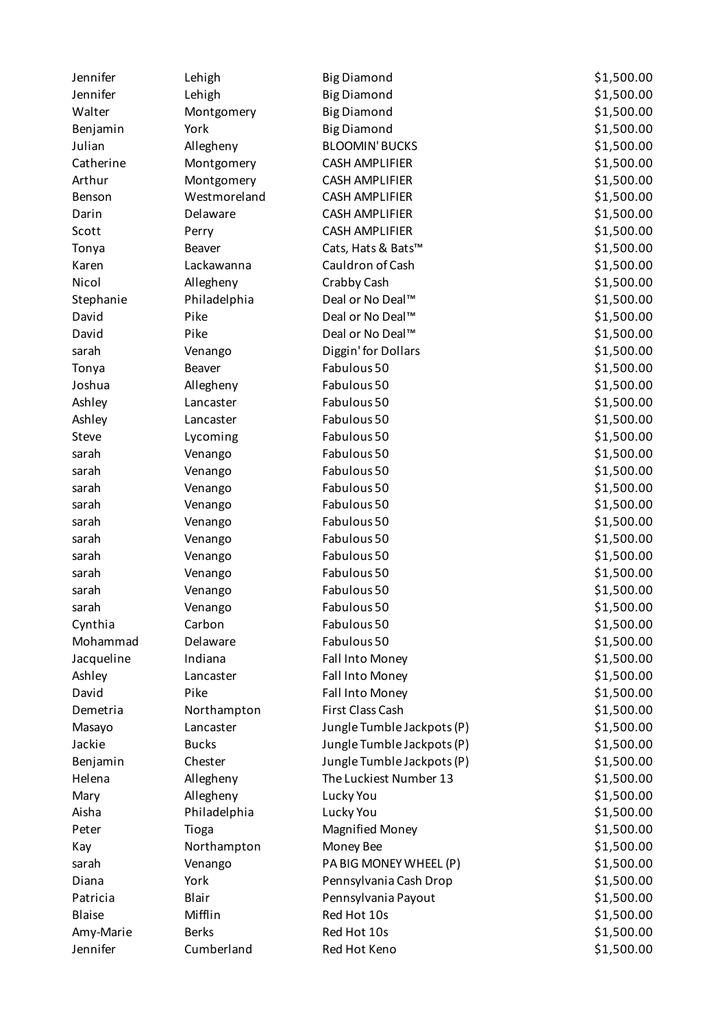| Jennifer      | Lehigh       | <b>Big Diamond</b>         | \$1,500.00 |
|---------------|--------------|----------------------------|------------|
| Jennifer      | Lehigh       | <b>Big Diamond</b>         | \$1,500.00 |
| Walter        | Montgomery   | <b>Big Diamond</b>         | \$1,500.00 |
| Benjamin      | York         | <b>Big Diamond</b>         | \$1,500.00 |
| Julian        | Allegheny    | <b>BLOOMIN' BUCKS</b>      | \$1,500.00 |
| Catherine     | Montgomery   | <b>CASH AMPLIFIER</b>      | \$1,500.00 |
| Arthur        | Montgomery   | <b>CASH AMPLIFIER</b>      | \$1,500.00 |
| Benson        | Westmoreland | <b>CASH AMPLIFIER</b>      | \$1,500.00 |
| Darin         | Delaware     | <b>CASH AMPLIFIER</b>      | \$1,500.00 |
| Scott         | Perry        | <b>CASH AMPLIFIER</b>      | \$1,500.00 |
| Tonya         | Beaver       | Cats, Hats & Bats™         | \$1,500.00 |
| Karen         | Lackawanna   | Cauldron of Cash           | \$1,500.00 |
| Nicol         | Allegheny    | Crabby Cash                | \$1,500.00 |
| Stephanie     | Philadelphia | Deal or No Deal™           | \$1,500.00 |
| David         | Pike         | Deal or No Deal™           | \$1,500.00 |
| David         | Pike         | Deal or No Deal™           | \$1,500.00 |
| sarah         | Venango      | Diggin' for Dollars        | \$1,500.00 |
| Tonya         | Beaver       | Fabulous 50                | \$1,500.00 |
| Joshua        | Allegheny    | Fabulous 50                | \$1,500.00 |
| Ashley        | Lancaster    | Fabulous 50                | \$1,500.00 |
| Ashley        | Lancaster    | Fabulous 50                | \$1,500.00 |
| Steve         | Lycoming     | Fabulous 50                | \$1,500.00 |
| sarah         | Venango      | Fabulous 50                | \$1,500.00 |
| sarah         | Venango      | Fabulous 50                | \$1,500.00 |
| sarah         | Venango      | Fabulous 50                | \$1,500.00 |
| sarah         | Venango      | Fabulous 50                | \$1,500.00 |
| sarah         | Venango      | Fabulous 50                | \$1,500.00 |
| sarah         | Venango      | Fabulous 50                | \$1,500.00 |
| sarah         | Venango      | Fabulous 50                | \$1,500.00 |
| sarah         | Venango      | Fabulous 50                | \$1,500.00 |
| sarah         | Venango      | Fabulous 50                | \$1,500.00 |
| sarah         | Venango      | Fabulous 50                | \$1,500.00 |
| Cynthia       | Carbon       | Fabulous 50                | \$1,500.00 |
| Mohammad      | Delaware     | Fabulous 50                | \$1,500.00 |
| Jacqueline    | Indiana      | Fall Into Money            | \$1,500.00 |
| Ashley        | Lancaster    | Fall Into Money            | \$1,500.00 |
| David         | Pike         | Fall Into Money            | \$1,500.00 |
| Demetria      | Northampton  | First Class Cash           | \$1,500.00 |
| Masayo        | Lancaster    | Jungle Tumble Jackpots (P) | \$1,500.00 |
| Jackie        | <b>Bucks</b> | Jungle Tumble Jackpots (P) | \$1,500.00 |
| Benjamin      | Chester      | Jungle Tumble Jackpots (P) | \$1,500.00 |
| Helena        | Allegheny    | The Luckiest Number 13     | \$1,500.00 |
| Mary          | Allegheny    | Lucky You                  | \$1,500.00 |
| Aisha         | Philadelphia | Lucky You                  | \$1,500.00 |
| Peter         | Tioga        | <b>Magnified Money</b>     | \$1,500.00 |
| Kay           | Northampton  | Money Bee                  | \$1,500.00 |
| sarah         | Venango      | PA BIG MONEY WHEEL (P)     | \$1,500.00 |
| Diana         | York         | Pennsylvania Cash Drop     | \$1,500.00 |
| Patricia      | Blair        | Pennsylvania Payout        | \$1,500.00 |
| <b>Blaise</b> | Mifflin      | Red Hot 10s                | \$1,500.00 |
| Amy-Marie     | <b>Berks</b> | Red Hot 10s                | \$1,500.00 |
| Jennifer      | Cumberland   | Red Hot Keno               | \$1,500.00 |
|               |              |                            |            |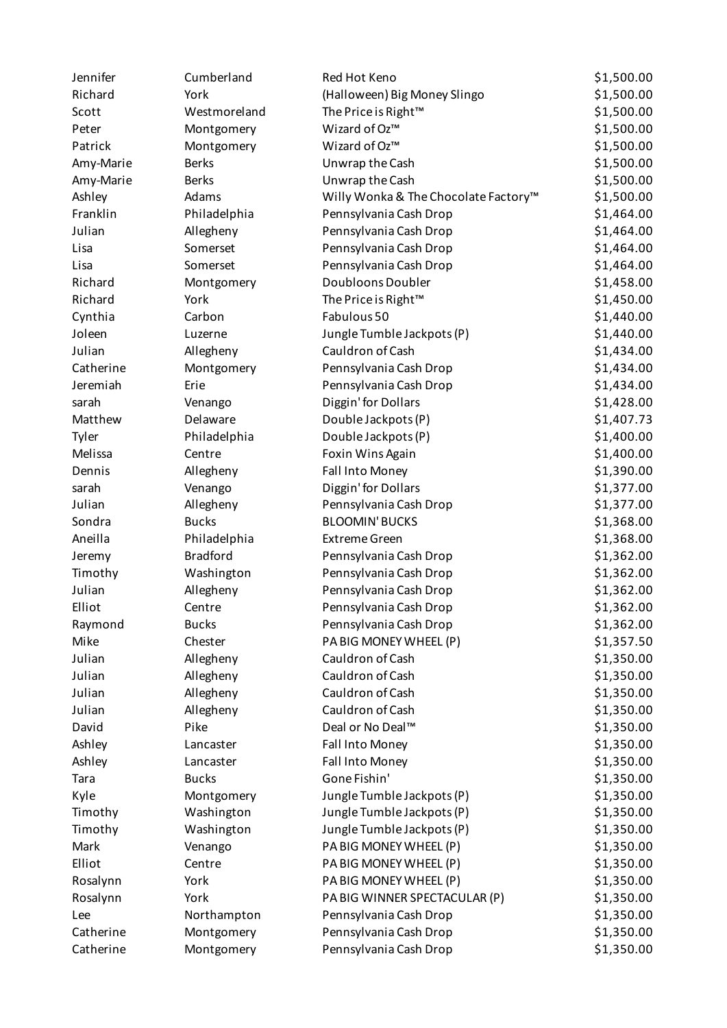| Jennifer  | Cumberland      | Red Hot Keno                         | \$1,500.00 |
|-----------|-----------------|--------------------------------------|------------|
| Richard   | York            | (Halloween) Big Money Slingo         | \$1,500.00 |
| Scott     | Westmoreland    | The Price is Right <sup>™</sup>      | \$1,500.00 |
| Peter     | Montgomery      | Wizard of Oz™                        | \$1,500.00 |
| Patrick   | Montgomery      | Wizard of Oz™                        | \$1,500.00 |
| Amy-Marie | <b>Berks</b>    | Unwrap the Cash                      | \$1,500.00 |
| Amy-Marie | <b>Berks</b>    | Unwrap the Cash                      | \$1,500.00 |
| Ashley    | Adams           | Willy Wonka & The Chocolate Factory™ | \$1,500.00 |
| Franklin  | Philadelphia    | Pennsylvania Cash Drop               | \$1,464.00 |
| Julian    | Allegheny       | Pennsylvania Cash Drop               | \$1,464.00 |
| Lisa      | Somerset        | Pennsylvania Cash Drop               | \$1,464.00 |
| Lisa      | Somerset        | Pennsylvania Cash Drop               | \$1,464.00 |
| Richard   | Montgomery      | Doubloons Doubler                    | \$1,458.00 |
| Richard   | York            | The Price is Right™                  | \$1,450.00 |
| Cynthia   | Carbon          | Fabulous 50                          | \$1,440.00 |
| Joleen    | Luzerne         | Jungle Tumble Jackpots (P)           | \$1,440.00 |
| Julian    | Allegheny       | Cauldron of Cash                     | \$1,434.00 |
| Catherine | Montgomery      | Pennsylvania Cash Drop               | \$1,434.00 |
| Jeremiah  | Erie            | Pennsylvania Cash Drop               | \$1,434.00 |
| sarah     | Venango         | Diggin' for Dollars                  | \$1,428.00 |
| Matthew   | Delaware        | Double Jackpots (P)                  | \$1,407.73 |
| Tyler     | Philadelphia    | Double Jackpots (P)                  | \$1,400.00 |
| Melissa   | Centre          | Foxin Wins Again                     | \$1,400.00 |
| Dennis    | Allegheny       | Fall Into Money                      | \$1,390.00 |
| sarah     | Venango         | Diggin' for Dollars                  | \$1,377.00 |
| Julian    | Allegheny       | Pennsylvania Cash Drop               | \$1,377.00 |
| Sondra    | <b>Bucks</b>    | <b>BLOOMIN' BUCKS</b>                | \$1,368.00 |
| Aneilla   | Philadelphia    | <b>Extreme Green</b>                 | \$1,368.00 |
| Jeremy    | <b>Bradford</b> | Pennsylvania Cash Drop               | \$1,362.00 |
| Timothy   | Washington      | Pennsylvania Cash Drop               | \$1,362.00 |
| Julian    | Allegheny       | Pennsylvania Cash Drop               | \$1,362.00 |
| Elliot    | Centre          | Pennsylvania Cash Drop               | \$1,362.00 |
| Raymond   | <b>Bucks</b>    | Pennsylvania Cash Drop               | \$1,362.00 |
| Mike      | Chester         | PA BIG MONEY WHEEL (P)               | \$1,357.50 |
| Julian    | Allegheny       | Cauldron of Cash                     | \$1,350.00 |
| Julian    | Allegheny       | Cauldron of Cash                     | \$1,350.00 |
| Julian    | Allegheny       | Cauldron of Cash                     | \$1,350.00 |
| Julian    | Allegheny       | Cauldron of Cash                     | \$1,350.00 |
| David     | Pike            | Deal or No Deal™                     | \$1,350.00 |
| Ashley    | Lancaster       | Fall Into Money                      | \$1,350.00 |
| Ashley    | Lancaster       | <b>Fall Into Money</b>               | \$1,350.00 |
| Tara      | <b>Bucks</b>    | Gone Fishin'                         | \$1,350.00 |
| Kyle      | Montgomery      | Jungle Tumble Jackpots (P)           | \$1,350.00 |
| Timothy   | Washington      | Jungle Tumble Jackpots (P)           | \$1,350.00 |
| Timothy   | Washington      | Jungle Tumble Jackpots (P)           | \$1,350.00 |
| Mark      | Venango         | PA BIG MONEY WHEEL (P)               | \$1,350.00 |
| Elliot    | Centre          | PA BIG MONEY WHEEL (P)               | \$1,350.00 |
| Rosalynn  | York            | PA BIG MONEY WHEEL (P)               | \$1,350.00 |
| Rosalynn  | York            | PA BIG WINNER SPECTACULAR (P)        | \$1,350.00 |
| Lee       | Northampton     | Pennsylvania Cash Drop               | \$1,350.00 |
| Catherine | Montgomery      | Pennsylvania Cash Drop               | \$1,350.00 |
| Catherine | Montgomery      | Pennsylvania Cash Drop               | \$1,350.00 |
|           |                 |                                      |            |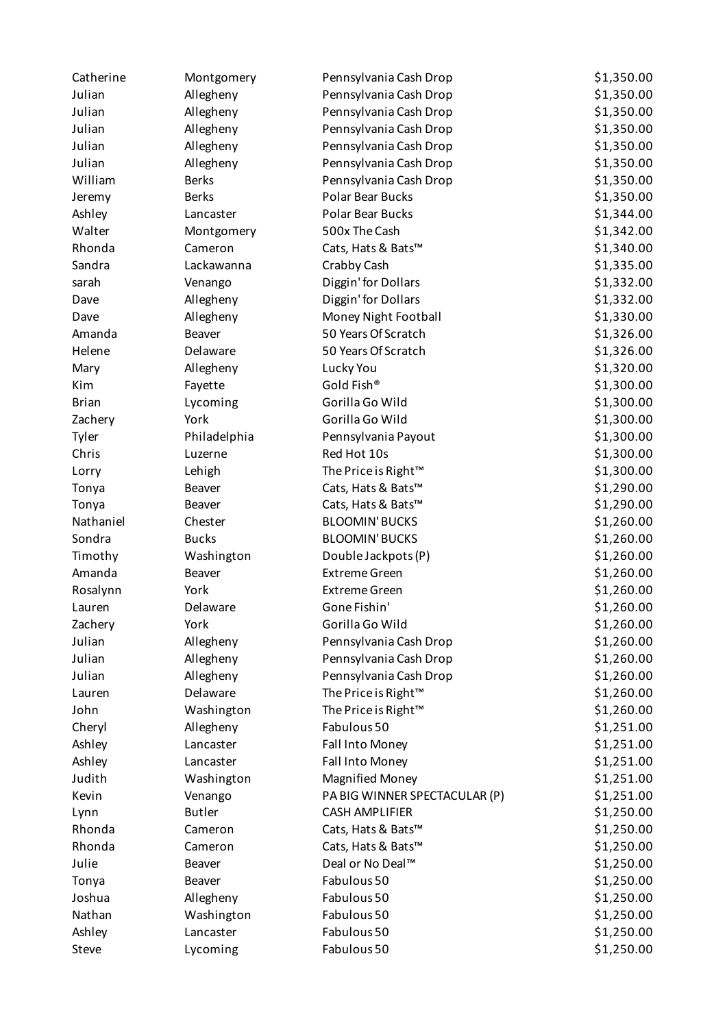| Catherine    | Montgomery    | Pennsylvania Cash Drop          | \$1,350.00 |
|--------------|---------------|---------------------------------|------------|
| Julian       | Allegheny     | Pennsylvania Cash Drop          | \$1,350.00 |
| Julian       | Allegheny     | Pennsylvania Cash Drop          | \$1,350.00 |
| Julian       | Allegheny     | Pennsylvania Cash Drop          | \$1,350.00 |
| Julian       | Allegheny     | Pennsylvania Cash Drop          | \$1,350.00 |
| Julian       | Allegheny     | Pennsylvania Cash Drop          | \$1,350.00 |
| William      | <b>Berks</b>  | Pennsylvania Cash Drop          | \$1,350.00 |
| Jeremy       | <b>Berks</b>  | Polar Bear Bucks                | \$1,350.00 |
| Ashley       | Lancaster     | <b>Polar Bear Bucks</b>         | \$1,344.00 |
| Walter       | Montgomery    | 500x The Cash                   | \$1,342.00 |
| Rhonda       | Cameron       | Cats, Hats & Bats™              | \$1,340.00 |
| Sandra       | Lackawanna    | Crabby Cash                     | \$1,335.00 |
| sarah        | Venango       | Diggin' for Dollars             | \$1,332.00 |
| Dave         | Allegheny     | Diggin' for Dollars             | \$1,332.00 |
| Dave         | Allegheny     | Money Night Football            | \$1,330.00 |
| Amanda       | Beaver        | 50 Years Of Scratch             | \$1,326.00 |
| Helene       | Delaware      | 50 Years Of Scratch             | \$1,326.00 |
| Mary         | Allegheny     | Lucky You                       | \$1,320.00 |
| Kim          | Fayette       | Gold Fish®                      | \$1,300.00 |
| <b>Brian</b> | Lycoming      | Gorilla Go Wild                 | \$1,300.00 |
| Zachery      | York          | Gorilla Go Wild                 | \$1,300.00 |
| Tyler        | Philadelphia  | Pennsylvania Payout             | \$1,300.00 |
| Chris        | Luzerne       | Red Hot 10s                     | \$1,300.00 |
| Lorry        | Lehigh        | The Price is Right <sup>™</sup> | \$1,300.00 |
| Tonya        | Beaver        | Cats, Hats & Bats™              | \$1,290.00 |
| Tonya        | Beaver        | Cats, Hats & Bats™              | \$1,290.00 |
| Nathaniel    | Chester       | <b>BLOOMIN' BUCKS</b>           | \$1,260.00 |
| Sondra       | <b>Bucks</b>  | <b>BLOOMIN' BUCKS</b>           | \$1,260.00 |
| Timothy      | Washington    | Double Jackpots (P)             | \$1,260.00 |
| Amanda       | Beaver        | <b>Extreme Green</b>            | \$1,260.00 |
| Rosalynn     | York          | <b>Extreme Green</b>            | \$1,260.00 |
| Lauren       | Delaware      | Gone Fishin'                    | \$1,260.00 |
| Zachery      | York          | Gorilla Go Wild                 | \$1,260.00 |
| Julian       | Allegheny     | Pennsylvania Cash Drop          | \$1,260.00 |
| Julian       | Allegheny     | Pennsylvania Cash Drop          | \$1,260.00 |
| Julian       | Allegheny     | Pennsylvania Cash Drop          | \$1,260.00 |
| Lauren       | Delaware      | The Price is Right™             | \$1,260.00 |
| John         | Washington    | The Price is Right™             | \$1,260.00 |
| Cheryl       | Allegheny     | Fabulous 50                     | \$1,251.00 |
| Ashley       | Lancaster     | Fall Into Money                 | \$1,251.00 |
| Ashley       | Lancaster     | Fall Into Money                 | \$1,251.00 |
| Judith       | Washington    | <b>Magnified Money</b>          | \$1,251.00 |
| Kevin        | Venango       | PA BIG WINNER SPECTACULAR (P)   | \$1,251.00 |
| Lynn         | <b>Butler</b> | <b>CASH AMPLIFIER</b>           | \$1,250.00 |
| Rhonda       | Cameron       | Cats, Hats & Bats™              | \$1,250.00 |
| Rhonda       | Cameron       | Cats, Hats & Bats™              | \$1,250.00 |
| Julie        | Beaver        | Deal or No Deal™                | \$1,250.00 |
| Tonya        | Beaver        | Fabulous 50                     | \$1,250.00 |
| Joshua       | Allegheny     | Fabulous 50                     | \$1,250.00 |
| Nathan       | Washington    | Fabulous 50                     | \$1,250.00 |
| Ashley       | Lancaster     | Fabulous 50                     | \$1,250.00 |
| Steve        | Lycoming      | Fabulous 50                     | \$1,250.00 |
|              |               |                                 |            |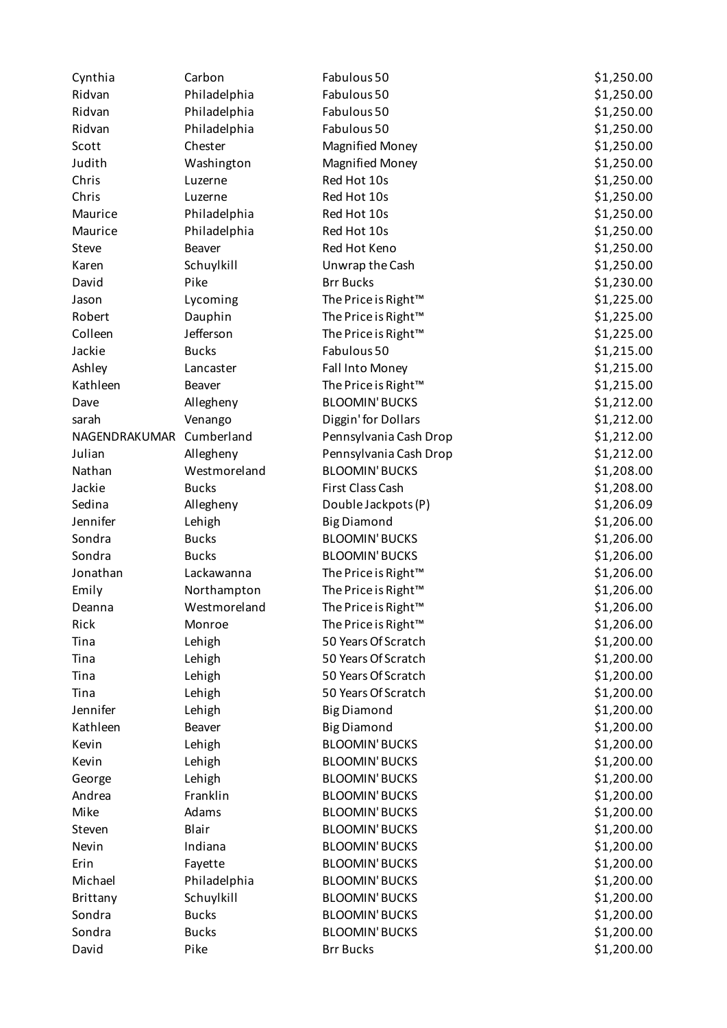| Cynthia       | Carbon                  | Fabulous 50                     | \$1,250.00 |
|---------------|-------------------------|---------------------------------|------------|
| Ridvan        | Philadelphia            | Fabulous 50                     | \$1,250.00 |
| Ridvan        | Philadelphia            | Fabulous 50                     | \$1,250.00 |
| Ridvan        | Philadelphia            | Fabulous 50                     | \$1,250.00 |
| Scott         | Chester                 | <b>Magnified Money</b>          | \$1,250.00 |
| Judith        | Washington              | <b>Magnified Money</b>          | \$1,250.00 |
| Chris         | Luzerne                 | Red Hot 10s                     | \$1,250.00 |
| Chris         | Luzerne                 | Red Hot 10s                     | \$1,250.00 |
| Maurice       | Philadelphia            | Red Hot 10s                     | \$1,250.00 |
| Maurice       | Philadelphia            | Red Hot 10s                     | \$1,250.00 |
| Steve         | <b>Beaver</b>           | Red Hot Keno                    | \$1,250.00 |
| Karen         | Schuylkill              | Unwrap the Cash                 | \$1,250.00 |
| David         | Pike                    | <b>Brr Bucks</b>                | \$1,230.00 |
| Jason         | Lycoming                | The Price is Right™             | \$1,225.00 |
| Robert        | Dauphin                 | The Price is Right™             | \$1,225.00 |
| Colleen       | Jefferson               | The Price is Right <sup>™</sup> | \$1,225.00 |
| Jackie        | <b>Bucks</b>            | Fabulous 50                     | \$1,215.00 |
| Ashley        | Lancaster               | Fall Into Money                 | \$1,215.00 |
| Kathleen      | <b>Beaver</b>           | The Price is Right <sup>™</sup> | \$1,215.00 |
| Dave          | Allegheny               | <b>BLOOMIN' BUCKS</b>           | \$1,212.00 |
| sarah         | Venango                 | Diggin' for Dollars             | \$1,212.00 |
| NAGENDRAKUMAR | Cumberland              | Pennsylvania Cash Drop          | \$1,212.00 |
| Julian        | Allegheny               | Pennsylvania Cash Drop          | \$1,212.00 |
| Nathan        | Westmoreland            | <b>BLOOMIN' BUCKS</b>           | \$1,208.00 |
| Jackie        | <b>Bucks</b>            | First Class Cash                | \$1,208.00 |
| Sedina        | Allegheny               | Double Jackpots (P)             | \$1,206.09 |
| Jennifer      | Lehigh                  | <b>Big Diamond</b>              | \$1,206.00 |
| Sondra        | <b>Bucks</b>            | <b>BLOOMIN' BUCKS</b>           | \$1,206.00 |
| Sondra        | <b>Bucks</b>            | <b>BLOOMIN' BUCKS</b>           | \$1,206.00 |
| Jonathan      | Lackawanna              | The Price is Right™             | \$1,206.00 |
| Emily         | Northampton             | The Price is Right™             | \$1,206.00 |
| Deanna        | Westmoreland            | The Price is Right™             | \$1,206.00 |
| Rick          | Monroe                  | The Price is Right™             | \$1,206.00 |
| Tina          | Lehigh                  | 50 Years Of Scratch             | \$1,200.00 |
| Tina          | Lehigh                  | 50 Years Of Scratch             | \$1,200.00 |
| Tina          | Lehigh                  | 50 Years Of Scratch             | \$1,200.00 |
| Tina          | Lehigh                  | 50 Years Of Scratch             | \$1,200.00 |
| Jennifer      | Lehigh                  | <b>Big Diamond</b>              | \$1,200.00 |
| Kathleen      | Beaver                  | <b>Big Diamond</b>              | \$1,200.00 |
| Kevin         | Lehigh                  | <b>BLOOMIN' BUCKS</b>           | \$1,200.00 |
| Kevin         | Lehigh                  | <b>BLOOMIN' BUCKS</b>           | \$1,200.00 |
| George        | Lehigh                  | <b>BLOOMIN' BUCKS</b>           | \$1,200.00 |
| Andrea        | Franklin                | <b>BLOOMIN' BUCKS</b>           | \$1,200.00 |
| Mike          | Adams                   | <b>BLOOMIN' BUCKS</b>           | \$1,200.00 |
| Steven        | Blair                   | <b>BLOOMIN' BUCKS</b>           | \$1,200.00 |
| Nevin         | Indiana                 | <b>BLOOMIN' BUCKS</b>           | \$1,200.00 |
| Erin          |                         | <b>BLOOMIN' BUCKS</b>           | \$1,200.00 |
| Michael       | Fayette<br>Philadelphia | <b>BLOOMIN' BUCKS</b>           | \$1,200.00 |
| Brittany      | Schuylkill              | <b>BLOOMIN' BUCKS</b>           | \$1,200.00 |
| Sondra        | <b>Bucks</b>            | <b>BLOOMIN' BUCKS</b>           | \$1,200.00 |
| Sondra        | <b>Bucks</b>            | <b>BLOOMIN' BUCKS</b>           | \$1,200.00 |
| David         | Pike                    | <b>Brr Bucks</b>                |            |
|               |                         |                                 | \$1,200.00 |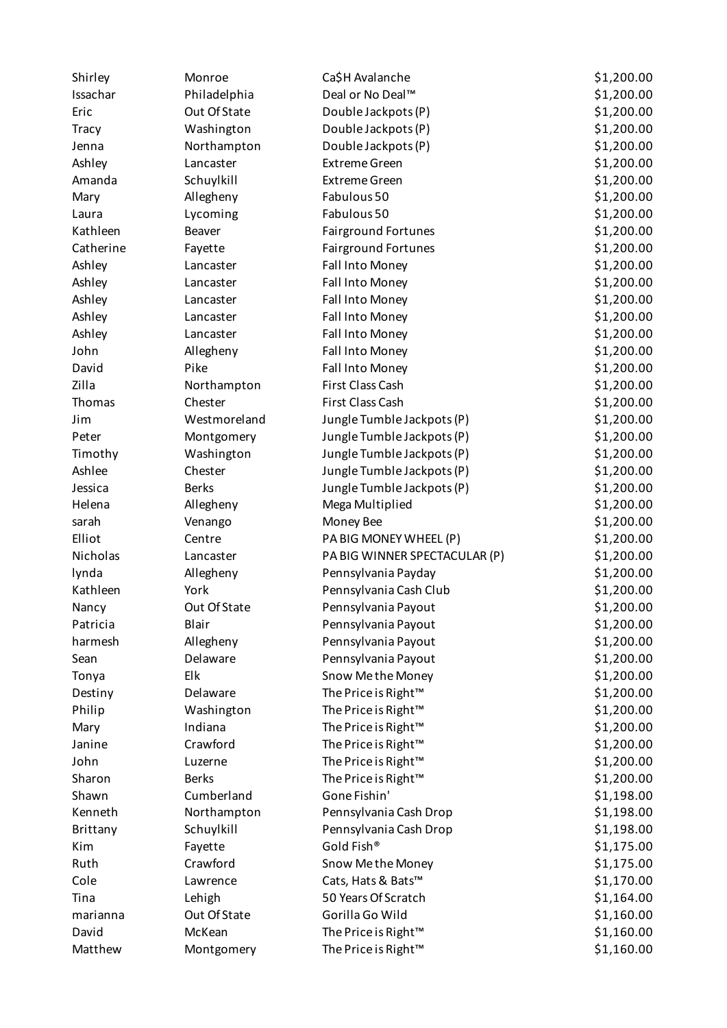| Shirley      | Monroe       | Ca\$H Avalanche                 | \$1,200.00 |
|--------------|--------------|---------------------------------|------------|
| Issachar     | Philadelphia | Deal or No Deal™                | \$1,200.00 |
| Eric         | Out Of State | Double Jackpots (P)             | \$1,200.00 |
| <b>Tracy</b> | Washington   | Double Jackpots (P)             | \$1,200.00 |
| Jenna        | Northampton  | Double Jackpots (P)             | \$1,200.00 |
| Ashley       | Lancaster    | <b>Extreme Green</b>            | \$1,200.00 |
| Amanda       | Schuylkill   | <b>Extreme Green</b>            | \$1,200.00 |
| Mary         | Allegheny    | Fabulous 50                     | \$1,200.00 |
| Laura        | Lycoming     | Fabulous 50                     | \$1,200.00 |
| Kathleen     | Beaver       | Fairground Fortunes             | \$1,200.00 |
| Catherine    | Fayette      | Fairground Fortunes             | \$1,200.00 |
| Ashley       | Lancaster    | Fall Into Money                 | \$1,200.00 |
| Ashley       | Lancaster    | Fall Into Money                 | \$1,200.00 |
| Ashley       | Lancaster    | Fall Into Money                 | \$1,200.00 |
| Ashley       | Lancaster    | Fall Into Money                 | \$1,200.00 |
| Ashley       | Lancaster    | Fall Into Money                 | \$1,200.00 |
| John         | Allegheny    | Fall Into Money                 | \$1,200.00 |
| David        | Pike         | Fall Into Money                 | \$1,200.00 |
| Zilla        | Northampton  | First Class Cash                | \$1,200.00 |
| Thomas       | Chester      | First Class Cash                | \$1,200.00 |
| Jim          | Westmoreland | Jungle Tumble Jackpots (P)      | \$1,200.00 |
| Peter        | Montgomery   | Jungle Tumble Jackpots (P)      | \$1,200.00 |
| Timothy      | Washington   | Jungle Tumble Jackpots (P)      | \$1,200.00 |
| Ashlee       | Chester      | Jungle Tumble Jackpots (P)      | \$1,200.00 |
| Jessica      | <b>Berks</b> | Jungle Tumble Jackpots (P)      | \$1,200.00 |
| Helena       | Allegheny    | Mega Multiplied                 | \$1,200.00 |
| sarah        | Venango      | Money Bee                       | \$1,200.00 |
| Elliot       | Centre       | PA BIG MONEY WHEEL (P)          | \$1,200.00 |
| Nicholas     | Lancaster    | PA BIG WINNER SPECTACULAR (P)   | \$1,200.00 |
| lynda        | Allegheny    | Pennsylvania Payday             | \$1,200.00 |
| Kathleen     | York         | Pennsylvania Cash Club          | \$1,200.00 |
| Nancy        | Out Of State | Pennsylvania Payout             | \$1,200.00 |
| Patricia     | Blair        | Pennsylvania Payout             | \$1,200.00 |
| harmesh      | Allegheny    | Pennsylvania Payout             | \$1,200.00 |
| Sean         | Delaware     | Pennsylvania Payout             | \$1,200.00 |
| Tonya        | Elk          | Snow Me the Money               | \$1,200.00 |
| Destiny      | Delaware     | The Price is Right™             | \$1,200.00 |
| Philip       | Washington   | The Price is Right <sup>™</sup> | \$1,200.00 |
| Mary         | Indiana      | The Price is Right <sup>™</sup> | \$1,200.00 |
| Janine       | Crawford     | The Price is Right™             | \$1,200.00 |
| John         | Luzerne      | The Price is Right <sup>™</sup> | \$1,200.00 |
| Sharon       | <b>Berks</b> | The Price is Right <sup>™</sup> | \$1,200.00 |
| Shawn        | Cumberland   | Gone Fishin'                    | \$1,198.00 |
| Kenneth      | Northampton  | Pennsylvania Cash Drop          | \$1,198.00 |
| Brittany     | Schuylkill   | Pennsylvania Cash Drop          | \$1,198.00 |
| Kim          | Fayette      | Gold Fish®                      | \$1,175.00 |
| Ruth         | Crawford     | Snow Me the Money               | \$1,175.00 |
| Cole         | Lawrence     | Cats, Hats & Bats™              | \$1,170.00 |
| Tina         | Lehigh       | 50 Years Of Scratch             | \$1,164.00 |
| marianna     | Out Of State | Gorilla Go Wild                 | \$1,160.00 |
| David        | McKean       | The Price is Right <sup>™</sup> | \$1,160.00 |
| Matthew      | Montgomery   | The Price is Right <sup>™</sup> | \$1,160.00 |
|              |              |                                 |            |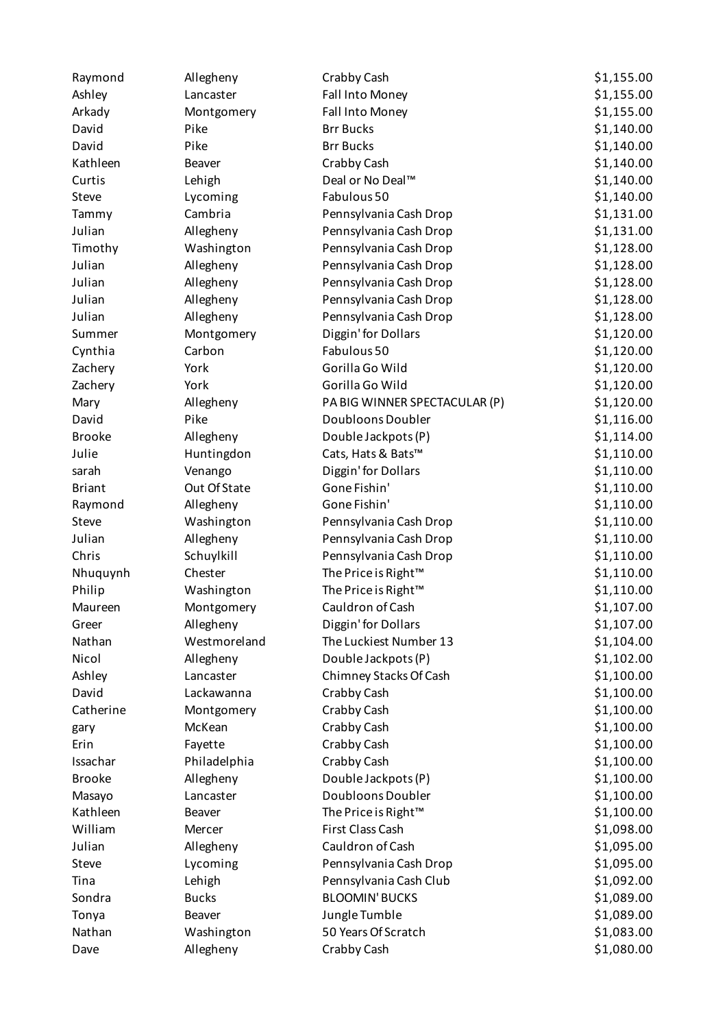| Raymond       | Allegheny    | Crabby Cash                   | \$1,155.00 |
|---------------|--------------|-------------------------------|------------|
| Ashley        | Lancaster    | Fall Into Money               | \$1,155.00 |
| Arkady        | Montgomery   | Fall Into Money               | \$1,155.00 |
| David         | Pike         | <b>Brr Bucks</b>              | \$1,140.00 |
| David         | Pike         | <b>Brr Bucks</b>              | \$1,140.00 |
| Kathleen      | Beaver       | Crabby Cash                   | \$1,140.00 |
| Curtis        | Lehigh       | Deal or No Deal™              | \$1,140.00 |
| Steve         | Lycoming     | Fabulous 50                   | \$1,140.00 |
| Tammy         | Cambria      | Pennsylvania Cash Drop        | \$1,131.00 |
| Julian        | Allegheny    | Pennsylvania Cash Drop        | \$1,131.00 |
| Timothy       | Washington   | Pennsylvania Cash Drop        | \$1,128.00 |
| Julian        | Allegheny    | Pennsylvania Cash Drop        | \$1,128.00 |
| Julian        | Allegheny    | Pennsylvania Cash Drop        | \$1,128.00 |
| Julian        | Allegheny    | Pennsylvania Cash Drop        | \$1,128.00 |
| Julian        | Allegheny    | Pennsylvania Cash Drop        | \$1,128.00 |
| Summer        | Montgomery   | Diggin' for Dollars           | \$1,120.00 |
| Cynthia       | Carbon       | Fabulous 50                   | \$1,120.00 |
| Zachery       | York         | Gorilla Go Wild               | \$1,120.00 |
| Zachery       | York         | Gorilla Go Wild               | \$1,120.00 |
| Mary          | Allegheny    | PA BIG WINNER SPECTACULAR (P) | \$1,120.00 |
| David         | Pike         | Doubloons Doubler             | \$1,116.00 |
| <b>Brooke</b> | Allegheny    | Double Jackpots (P)           | \$1,114.00 |
| Julie         | Huntingdon   | Cats, Hats & Bats™            | \$1,110.00 |
| sarah         | Venango      | Diggin' for Dollars           | \$1,110.00 |
| <b>Briant</b> | Out Of State | Gone Fishin'                  | \$1,110.00 |
| Raymond       | Allegheny    | Gone Fishin'                  | \$1,110.00 |
| Steve         | Washington   | Pennsylvania Cash Drop        | \$1,110.00 |
| Julian        | Allegheny    | Pennsylvania Cash Drop        | \$1,110.00 |
| Chris         | Schuylkill   | Pennsylvania Cash Drop        | \$1,110.00 |
| Nhuquynh      | Chester      | The Price is Right™           | \$1,110.00 |
| Philip        | Washington   | The Price is Right™           | \$1,110.00 |
| Maureen       | Montgomery   | Cauldron of Cash              | \$1,107.00 |
| Greer         | Allegheny    | Diggin' for Dollars           | \$1,107.00 |
| Nathan        | Westmoreland | The Luckiest Number 13        | \$1,104.00 |
| Nicol         | Allegheny    | Double Jackpots (P)           | \$1,102.00 |
| Ashley        | Lancaster    | Chimney Stacks Of Cash        | \$1,100.00 |
| David         | Lackawanna   | Crabby Cash                   | \$1,100.00 |
| Catherine     | Montgomery   | Crabby Cash                   | \$1,100.00 |
| gary          | McKean       | Crabby Cash                   | \$1,100.00 |
| Erin          | Fayette      | Crabby Cash                   | \$1,100.00 |
| Issachar      | Philadelphia | Crabby Cash                   | \$1,100.00 |
| <b>Brooke</b> | Allegheny    | Double Jackpots (P)           | \$1,100.00 |
| Masayo        | Lancaster    | Doubloons Doubler             | \$1,100.00 |
| Kathleen      | Beaver       | The Price is Right™           | \$1,100.00 |
| William       | Mercer       | First Class Cash              | \$1,098.00 |
| Julian        | Allegheny    | Cauldron of Cash              | \$1,095.00 |
| Steve         | Lycoming     | Pennsylvania Cash Drop        | \$1,095.00 |
| Tina          | Lehigh       | Pennsylvania Cash Club        | \$1,092.00 |
| Sondra        | <b>Bucks</b> | <b>BLOOMIN' BUCKS</b>         | \$1,089.00 |
| Tonya         | Beaver       | Jungle Tumble                 | \$1,089.00 |
| Nathan        | Washington   | 50 Years Of Scratch           | \$1,083.00 |
| Dave          | Allegheny    | Crabby Cash                   | \$1,080.00 |
|               |              |                               |            |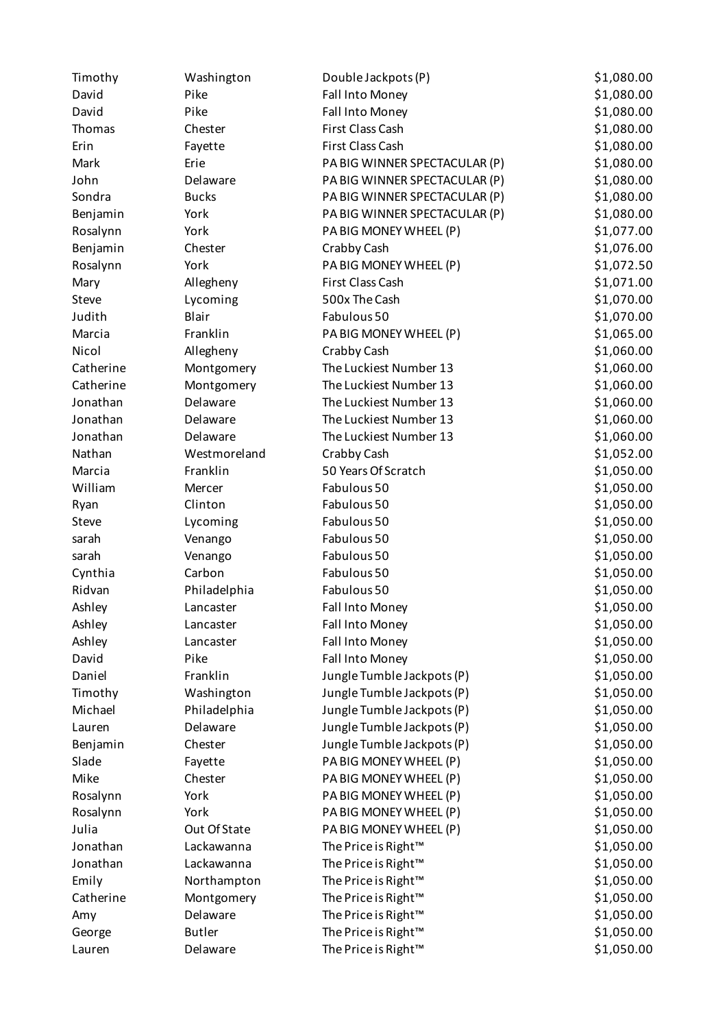| Timothy   | Washington    | Double Jackpots (P)           | \$1,080.00 |
|-----------|---------------|-------------------------------|------------|
| David     | Pike          | Fall Into Money               | \$1,080.00 |
| David     | Pike          | Fall Into Money               | \$1,080.00 |
| Thomas    | Chester       | First Class Cash              | \$1,080.00 |
| Erin      | Fayette       | First Class Cash              | \$1,080.00 |
| Mark      | Erie          | PA BIG WINNER SPECTACULAR (P) | \$1,080.00 |
| John      | Delaware      | PA BIG WINNER SPECTACULAR (P) | \$1,080.00 |
| Sondra    | <b>Bucks</b>  | PA BIG WINNER SPECTACULAR (P) | \$1,080.00 |
| Benjamin  | York          | PA BIG WINNER SPECTACULAR (P) | \$1,080.00 |
| Rosalynn  | York          | PA BIG MONEY WHEEL (P)        | \$1,077.00 |
| Benjamin  | Chester       | Crabby Cash                   | \$1,076.00 |
| Rosalynn  | York          | PA BIG MONEY WHEEL (P)        | \$1,072.50 |
| Mary      | Allegheny     | First Class Cash              | \$1,071.00 |
| Steve     | Lycoming      | 500x The Cash                 | \$1,070.00 |
| Judith    | <b>Blair</b>  | Fabulous 50                   | \$1,070.00 |
| Marcia    | Franklin      | PA BIG MONEY WHEEL (P)        | \$1,065.00 |
| Nicol     | Allegheny     | Crabby Cash                   | \$1,060.00 |
| Catherine | Montgomery    | The Luckiest Number 13        | \$1,060.00 |
| Catherine | Montgomery    | The Luckiest Number 13        | \$1,060.00 |
| Jonathan  | Delaware      | The Luckiest Number 13        | \$1,060.00 |
| Jonathan  | Delaware      | The Luckiest Number 13        | \$1,060.00 |
| Jonathan  | Delaware      | The Luckiest Number 13        | \$1,060.00 |
| Nathan    | Westmoreland  | Crabby Cash                   | \$1,052.00 |
| Marcia    | Franklin      | 50 Years Of Scratch           | \$1,050.00 |
| William   | Mercer        | Fabulous 50                   | \$1,050.00 |
| Ryan      | Clinton       | Fabulous 50                   | \$1,050.00 |
| Steve     | Lycoming      | Fabulous 50                   | \$1,050.00 |
| sarah     | Venango       | Fabulous 50                   | \$1,050.00 |
| sarah     | Venango       | Fabulous 50                   | \$1,050.00 |
| Cynthia   | Carbon        | Fabulous 50                   | \$1,050.00 |
| Ridvan    | Philadelphia  | Fabulous 50                   | \$1,050.00 |
| Ashley    | Lancaster     | Fall Into Money               | \$1,050.00 |
| Ashley    | Lancaster     | Fall Into Money               | \$1,050.00 |
| Ashley    | Lancaster     | Fall Into Money               | \$1,050.00 |
| David     | Pike          | Fall Into Money               | \$1,050.00 |
| Daniel    | Franklin      | Jungle Tumble Jackpots (P)    | \$1,050.00 |
| Timothy   | Washington    | Jungle Tumble Jackpots (P)    | \$1,050.00 |
| Michael   | Philadelphia  | Jungle Tumble Jackpots (P)    | \$1,050.00 |
| Lauren    | Delaware      | Jungle Tumble Jackpots (P)    | \$1,050.00 |
| Benjamin  | Chester       | Jungle Tumble Jackpots (P)    | \$1,050.00 |
| Slade     | Fayette       | PA BIG MONEY WHEEL (P)        | \$1,050.00 |
| Mike      | Chester       | PA BIG MONEY WHEEL (P)        | \$1,050.00 |
| Rosalynn  | York          | PA BIG MONEY WHEEL (P)        | \$1,050.00 |
| Rosalynn  | York          | PA BIG MONEY WHEEL (P)        | \$1,050.00 |
| Julia     | Out Of State  | PA BIG MONEY WHEEL (P)        | \$1,050.00 |
| Jonathan  | Lackawanna    | The Price is Right™           | \$1,050.00 |
| Jonathan  | Lackawanna    | The Price is Right™           | \$1,050.00 |
| Emily     | Northampton   | The Price is Right™           | \$1,050.00 |
| Catherine | Montgomery    | The Price is Right™           | \$1,050.00 |
| Amy       | Delaware      | The Price is Right™           | \$1,050.00 |
| George    | <b>Butler</b> | The Price is Right™           | \$1,050.00 |
| Lauren    | Delaware      | The Price is Right™           | \$1,050.00 |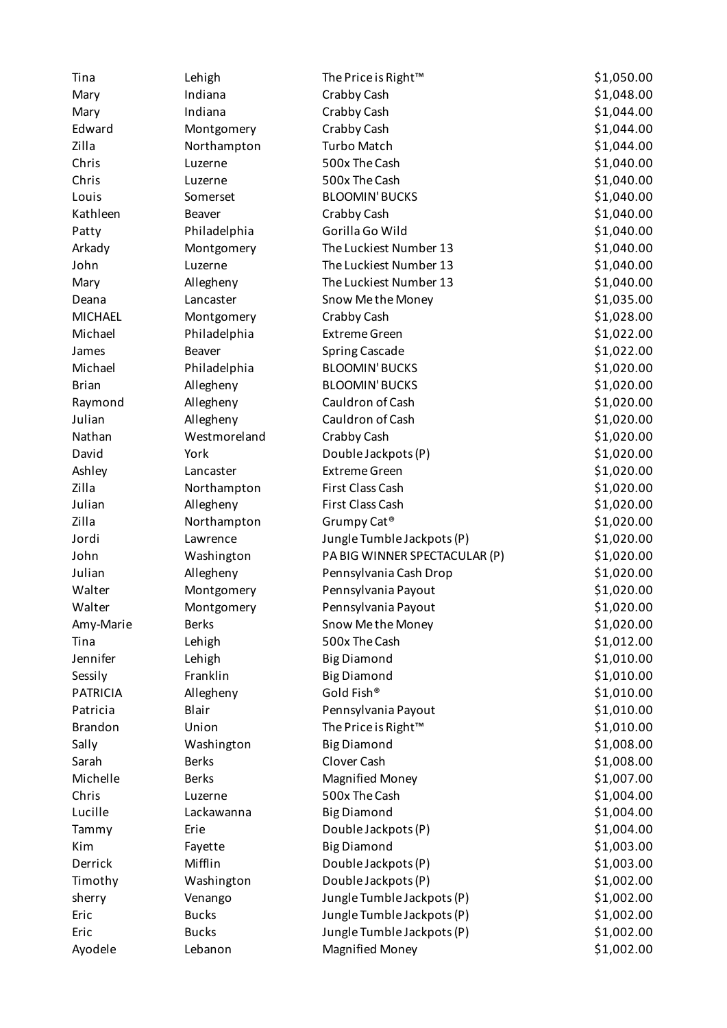| Tina            | Lehigh       | The Price is Right <sup>™</sup> | \$1,050.00 |
|-----------------|--------------|---------------------------------|------------|
| Mary            | Indiana      | Crabby Cash                     | \$1,048.00 |
| Mary            | Indiana      | Crabby Cash                     | \$1,044.00 |
| Edward          | Montgomery   | Crabby Cash                     | \$1,044.00 |
| Zilla           | Northampton  | <b>Turbo Match</b>              | \$1,044.00 |
| Chris           | Luzerne      | 500x The Cash                   | \$1,040.00 |
| Chris           | Luzerne      | 500x The Cash                   | \$1,040.00 |
| Louis           | Somerset     | <b>BLOOMIN' BUCKS</b>           | \$1,040.00 |
| Kathleen        | Beaver       | Crabby Cash                     | \$1,040.00 |
| Patty           | Philadelphia | Gorilla Go Wild                 | \$1,040.00 |
| Arkady          | Montgomery   | The Luckiest Number 13          | \$1,040.00 |
| John            | Luzerne      | The Luckiest Number 13          | \$1,040.00 |
| Mary            | Allegheny    | The Luckiest Number 13          | \$1,040.00 |
| Deana           | Lancaster    | Snow Me the Money               | \$1,035.00 |
| <b>MICHAEL</b>  | Montgomery   | Crabby Cash                     | \$1,028.00 |
| Michael         | Philadelphia | <b>Extreme Green</b>            | \$1,022.00 |
| James           | Beaver       | <b>Spring Cascade</b>           | \$1,022.00 |
| Michael         | Philadelphia | <b>BLOOMIN' BUCKS</b>           | \$1,020.00 |
| <b>Brian</b>    | Allegheny    | <b>BLOOMIN' BUCKS</b>           | \$1,020.00 |
| Raymond         | Allegheny    | Cauldron of Cash                | \$1,020.00 |
| Julian          | Allegheny    | Cauldron of Cash                | \$1,020.00 |
| Nathan          | Westmoreland | Crabby Cash                     | \$1,020.00 |
| David           | York         | Double Jackpots (P)             | \$1,020.00 |
| Ashley          | Lancaster    | <b>Extreme Green</b>            | \$1,020.00 |
| Zilla           | Northampton  | First Class Cash                | \$1,020.00 |
| Julian          | Allegheny    | First Class Cash                | \$1,020.00 |
| Zilla           | Northampton  | Grumpy Cat <sup>®</sup>         | \$1,020.00 |
| Jordi           | Lawrence     | Jungle Tumble Jackpots (P)      | \$1,020.00 |
| John            | Washington   | PA BIG WINNER SPECTACULAR (P)   | \$1,020.00 |
| Julian          | Allegheny    | Pennsylvania Cash Drop          | \$1,020.00 |
| Walter          | Montgomery   | Pennsylvania Payout             | \$1,020.00 |
| Walter          | Montgomery   | Pennsylvania Payout             | \$1,020.00 |
| Amy-Marie       | <b>Berks</b> | Snow Me the Money               | \$1,020.00 |
| Tina            | Lehigh       | 500x The Cash                   | \$1,012.00 |
| Jennifer        | Lehigh       | <b>Big Diamond</b>              | \$1,010.00 |
| Sessily         | Franklin     | <b>Big Diamond</b>              | \$1,010.00 |
| <b>PATRICIA</b> | Allegheny    | Gold Fish®                      | \$1,010.00 |
| Patricia        | Blair        | Pennsylvania Payout             | \$1,010.00 |
| <b>Brandon</b>  | Union        | The Price is Right™             | \$1,010.00 |
| Sally           | Washington   | <b>Big Diamond</b>              | \$1,008.00 |
| Sarah           | <b>Berks</b> | Clover Cash                     | \$1,008.00 |
| Michelle        | <b>Berks</b> | <b>Magnified Money</b>          | \$1,007.00 |
| Chris           | Luzerne      | 500x The Cash                   | \$1,004.00 |
| Lucille         | Lackawanna   | <b>Big Diamond</b>              | \$1,004.00 |
| Tammy           | Erie         | Double Jackpots (P)             | \$1,004.00 |
| Kim             | Fayette      | <b>Big Diamond</b>              | \$1,003.00 |
| Derrick         | Mifflin      | Double Jackpots (P)             | \$1,003.00 |
| Timothy         | Washington   | Double Jackpots (P)             | \$1,002.00 |
| sherry          | Venango      | Jungle Tumble Jackpots (P)      | \$1,002.00 |
| Eric            | <b>Bucks</b> | Jungle Tumble Jackpots (P)      | \$1,002.00 |
| Eric            | <b>Bucks</b> | Jungle Tumble Jackpots (P)      | \$1,002.00 |
| Ayodele         | Lebanon      | <b>Magnified Money</b>          | \$1,002.00 |
|                 |              |                                 |            |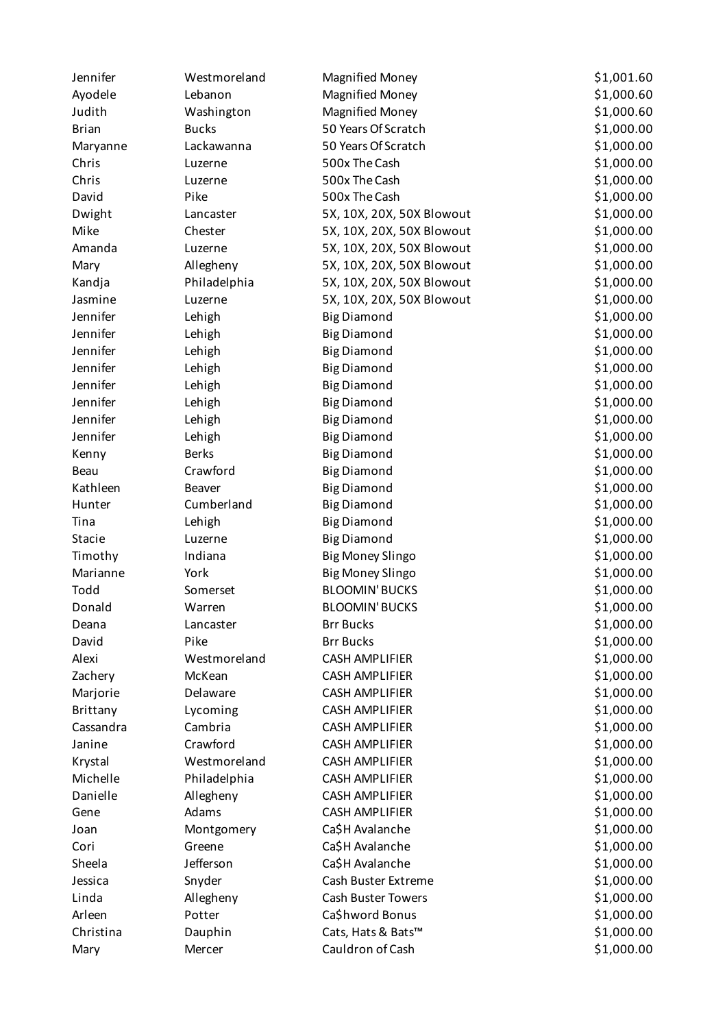| Jennifer     | Westmoreland | <b>Magnified Money</b>    | \$1,001.60 |
|--------------|--------------|---------------------------|------------|
| Ayodele      | Lebanon      | <b>Magnified Money</b>    | \$1,000.60 |
| Judith       | Washington   | <b>Magnified Money</b>    | \$1,000.60 |
| <b>Brian</b> | <b>Bucks</b> | 50 Years Of Scratch       | \$1,000.00 |
| Maryanne     | Lackawanna   | 50 Years Of Scratch       | \$1,000.00 |
| Chris        | Luzerne      | 500x The Cash             | \$1,000.00 |
| Chris        | Luzerne      | 500x The Cash             | \$1,000.00 |
| David        | Pike         | 500x The Cash             | \$1,000.00 |
| Dwight       | Lancaster    | 5X, 10X, 20X, 50X Blowout | \$1,000.00 |
| Mike         | Chester      | 5X, 10X, 20X, 50X Blowout | \$1,000.00 |
| Amanda       | Luzerne      | 5X, 10X, 20X, 50X Blowout | \$1,000.00 |
| Mary         | Allegheny    | 5X, 10X, 20X, 50X Blowout | \$1,000.00 |
| Kandja       | Philadelphia | 5X, 10X, 20X, 50X Blowout | \$1,000.00 |
| Jasmine      | Luzerne      | 5X, 10X, 20X, 50X Blowout | \$1,000.00 |
| Jennifer     | Lehigh       | <b>Big Diamond</b>        | \$1,000.00 |
| Jennifer     | Lehigh       | <b>Big Diamond</b>        | \$1,000.00 |
| Jennifer     | Lehigh       | <b>Big Diamond</b>        | \$1,000.00 |
| Jennifer     | Lehigh       | <b>Big Diamond</b>        | \$1,000.00 |
| Jennifer     | Lehigh       | <b>Big Diamond</b>        | \$1,000.00 |
| Jennifer     | Lehigh       | <b>Big Diamond</b>        | \$1,000.00 |
| Jennifer     | Lehigh       | <b>Big Diamond</b>        | \$1,000.00 |
| Jennifer     | Lehigh       | <b>Big Diamond</b>        | \$1,000.00 |
| Kenny        | <b>Berks</b> | <b>Big Diamond</b>        | \$1,000.00 |
| Beau         | Crawford     | <b>Big Diamond</b>        | \$1,000.00 |
| Kathleen     | Beaver       | <b>Big Diamond</b>        | \$1,000.00 |
| Hunter       | Cumberland   | <b>Big Diamond</b>        | \$1,000.00 |
| Tina         | Lehigh       | <b>Big Diamond</b>        | \$1,000.00 |
| Stacie       | Luzerne      | <b>Big Diamond</b>        | \$1,000.00 |
| Timothy      | Indiana      | <b>Big Money Slingo</b>   | \$1,000.00 |
| Marianne     | York         | <b>Big Money Slingo</b>   | \$1,000.00 |
| Todd         | Somerset     | <b>BLOOMIN' BUCKS</b>     | \$1,000.00 |
| Donald       | Warren       | <b>BLOOMIN' BUCKS</b>     | \$1,000.00 |
| Deana        | Lancaster    | <b>Brr Bucks</b>          | \$1,000.00 |
| David        | Pike         | <b>Brr Bucks</b>          | \$1,000.00 |
| Alexi        | Westmoreland | <b>CASH AMPLIFIER</b>     | \$1,000.00 |
| Zachery      | McKean       | <b>CASH AMPLIFIER</b>     | \$1,000.00 |
| Marjorie     | Delaware     | <b>CASH AMPLIFIER</b>     | \$1,000.00 |
| Brittany     | Lycoming     | <b>CASH AMPLIFIER</b>     | \$1,000.00 |
| Cassandra    | Cambria      | <b>CASH AMPLIFIER</b>     | \$1,000.00 |
| Janine       | Crawford     | <b>CASH AMPLIFIER</b>     | \$1,000.00 |
| Krystal      | Westmoreland | <b>CASH AMPLIFIER</b>     | \$1,000.00 |
| Michelle     | Philadelphia | <b>CASH AMPLIFIER</b>     | \$1,000.00 |
| Danielle     | Allegheny    | <b>CASH AMPLIFIER</b>     | \$1,000.00 |
| Gene         | Adams        | <b>CASH AMPLIFIER</b>     | \$1,000.00 |
| Joan         | Montgomery   | Ca\$H Avalanche           | \$1,000.00 |
| Cori         | Greene       | Ca\$H Avalanche           | \$1,000.00 |
| Sheela       | Jefferson    | Ca\$H Avalanche           | \$1,000.00 |
| Jessica      | Snyder       | Cash Buster Extreme       | \$1,000.00 |
| Linda        | Allegheny    | Cash Buster Towers        | \$1,000.00 |
| Arleen       | Potter       | Ca\$hword Bonus           | \$1,000.00 |
| Christina    | Dauphin      | Cats, Hats & Bats™        | \$1,000.00 |
| Mary         | Mercer       | Cauldron of Cash          | \$1,000.00 |
|              |              |                           |            |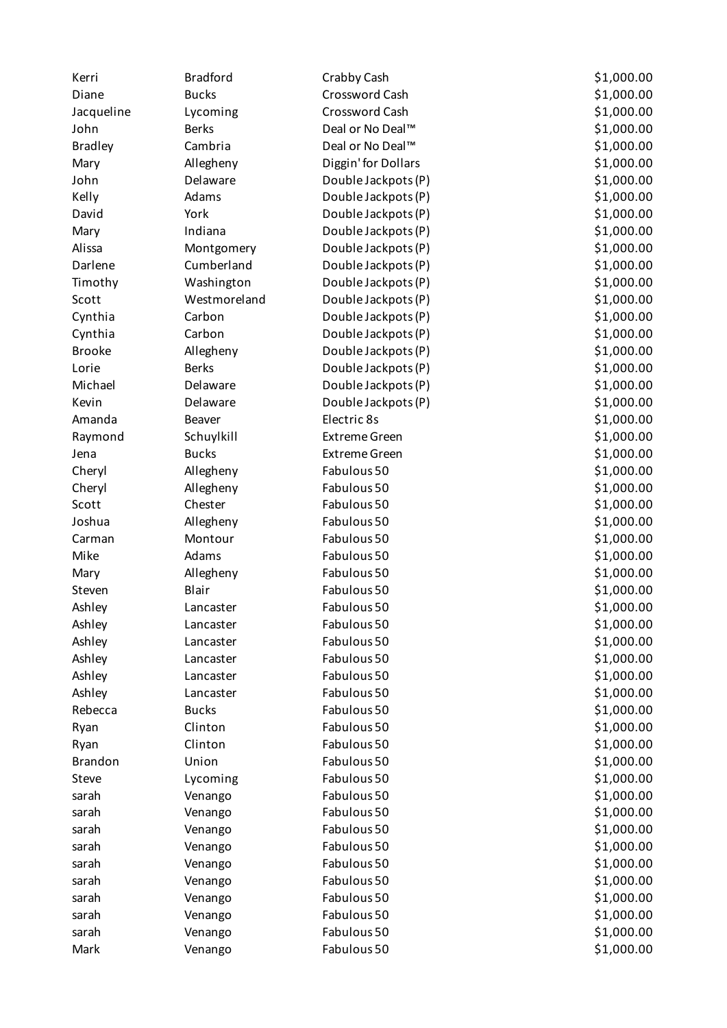| Kerri          | <b>Bradford</b> | Crabby Cash          | \$1,000.00 |
|----------------|-----------------|----------------------|------------|
| Diane          | <b>Bucks</b>    | Crossword Cash       | \$1,000.00 |
| Jacqueline     | Lycoming        | Crossword Cash       | \$1,000.00 |
| John           | <b>Berks</b>    | Deal or No Deal™     | \$1,000.00 |
| <b>Bradley</b> | Cambria         | Deal or No Deal™     | \$1,000.00 |
| Mary           | Allegheny       | Diggin' for Dollars  | \$1,000.00 |
| John           | Delaware        | Double Jackpots (P)  | \$1,000.00 |
| Kelly          | Adams           | Double Jackpots (P)  | \$1,000.00 |
| David          | York            | Double Jackpots (P)  | \$1,000.00 |
| Mary           | Indiana         | Double Jackpots (P)  | \$1,000.00 |
| Alissa         | Montgomery      | Double Jackpots (P)  | \$1,000.00 |
| Darlene        | Cumberland      | Double Jackpots (P)  | \$1,000.00 |
| Timothy        | Washington      | Double Jackpots (P)  | \$1,000.00 |
| Scott          | Westmoreland    | Double Jackpots (P)  | \$1,000.00 |
| Cynthia        | Carbon          | Double Jackpots (P)  | \$1,000.00 |
| Cynthia        | Carbon          | Double Jackpots (P)  | \$1,000.00 |
| <b>Brooke</b>  | Allegheny       | Double Jackpots (P)  | \$1,000.00 |
| Lorie          | <b>Berks</b>    | Double Jackpots (P)  | \$1,000.00 |
| Michael        | Delaware        | Double Jackpots (P)  | \$1,000.00 |
| Kevin          | Delaware        | Double Jackpots (P)  | \$1,000.00 |
| Amanda         | Beaver          | Electric 8s          | \$1,000.00 |
| Raymond        | Schuylkill      | <b>Extreme Green</b> | \$1,000.00 |
| Jena           | <b>Bucks</b>    | <b>Extreme Green</b> | \$1,000.00 |
| Cheryl         | Allegheny       | Fabulous 50          | \$1,000.00 |
| Cheryl         | Allegheny       | Fabulous 50          | \$1,000.00 |
| Scott          | Chester         | Fabulous 50          | \$1,000.00 |
| Joshua         | Allegheny       | Fabulous 50          | \$1,000.00 |
| Carman         | Montour         | Fabulous 50          | \$1,000.00 |
| Mike           | Adams           | Fabulous 50          | \$1,000.00 |
| Mary           | Allegheny       | Fabulous 50          | \$1,000.00 |
| Steven         | Blair           | Fabulous 50          | \$1,000.00 |
| Ashley         | Lancaster       | Fabulous 50          | \$1,000.00 |
| Ashley         | Lancaster       | Fabulous 50          | \$1,000.00 |
| Ashley         | Lancaster       | Fabulous 50          | \$1,000.00 |
| Ashley         | Lancaster       | Fabulous 50          | \$1,000.00 |
| Ashley         | Lancaster       | Fabulous 50          | \$1,000.00 |
| Ashley         | Lancaster       | Fabulous 50          | \$1,000.00 |
| Rebecca        | <b>Bucks</b>    | Fabulous 50          | \$1,000.00 |
| Ryan           | Clinton         | Fabulous 50          | \$1,000.00 |
| Ryan           | Clinton         | Fabulous 50          | \$1,000.00 |
| <b>Brandon</b> | Union           | Fabulous 50          | \$1,000.00 |
| Steve          | Lycoming        | Fabulous 50          | \$1,000.00 |
| sarah          | Venango         | Fabulous 50          | \$1,000.00 |
| sarah          | Venango         | Fabulous 50          | \$1,000.00 |
| sarah          | Venango         | Fabulous 50          | \$1,000.00 |
| sarah          | Venango         | Fabulous 50          | \$1,000.00 |
| sarah          | Venango         | Fabulous 50          | \$1,000.00 |
| sarah          | Venango         | Fabulous 50          | \$1,000.00 |
| sarah          | Venango         | Fabulous 50          | \$1,000.00 |
| sarah          | Venango         | Fabulous 50          | \$1,000.00 |
| sarah          | Venango         | Fabulous 50          | \$1,000.00 |
| Mark           | Venango         | Fabulous 50          | \$1,000.00 |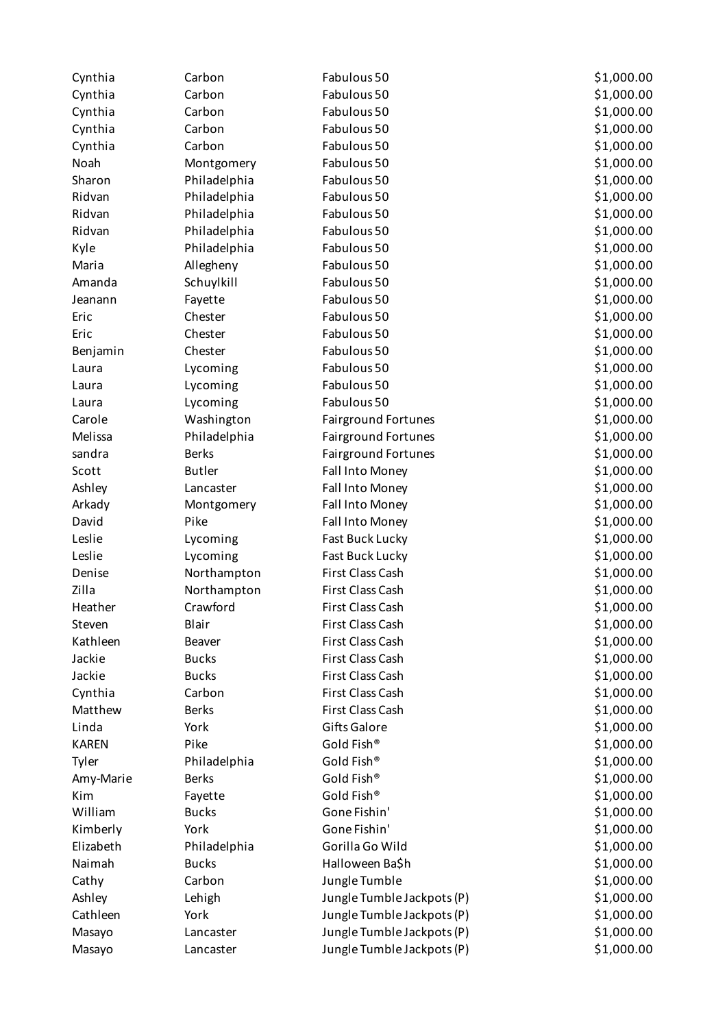| Cynthia      | Carbon        | Fabulous 50                | \$1,000.00 |
|--------------|---------------|----------------------------|------------|
| Cynthia      | Carbon        | Fabulous 50                | \$1,000.00 |
| Cynthia      | Carbon        | Fabulous 50                | \$1,000.00 |
| Cynthia      | Carbon        | Fabulous 50                | \$1,000.00 |
| Cynthia      | Carbon        | Fabulous 50                | \$1,000.00 |
| Noah         | Montgomery    | Fabulous 50                | \$1,000.00 |
| Sharon       | Philadelphia  | Fabulous 50                | \$1,000.00 |
| Ridvan       | Philadelphia  | Fabulous 50                | \$1,000.00 |
| Ridvan       | Philadelphia  | Fabulous 50                | \$1,000.00 |
| Ridvan       | Philadelphia  | Fabulous 50                | \$1,000.00 |
| Kyle         | Philadelphia  | Fabulous 50                | \$1,000.00 |
| Maria        | Allegheny     | Fabulous 50                | \$1,000.00 |
| Amanda       | Schuylkill    | Fabulous 50                | \$1,000.00 |
| Jeanann      | Fayette       | Fabulous 50                | \$1,000.00 |
| Eric         | Chester       | Fabulous 50                | \$1,000.00 |
| Eric         | Chester       | Fabulous 50                | \$1,000.00 |
| Benjamin     | Chester       | Fabulous 50                | \$1,000.00 |
| Laura        | Lycoming      | Fabulous 50                | \$1,000.00 |
| Laura        | Lycoming      | Fabulous 50                | \$1,000.00 |
| Laura        | Lycoming      | Fabulous 50                | \$1,000.00 |
| Carole       | Washington    | <b>Fairground Fortunes</b> | \$1,000.00 |
| Melissa      | Philadelphia  | Fairground Fortunes        | \$1,000.00 |
| sandra       | <b>Berks</b>  | <b>Fairground Fortunes</b> | \$1,000.00 |
| Scott        | <b>Butler</b> | Fall Into Money            | \$1,000.00 |
| Ashley       | Lancaster     | Fall Into Money            | \$1,000.00 |
| Arkady       | Montgomery    | Fall Into Money            | \$1,000.00 |
| David        | Pike          | Fall Into Money            | \$1,000.00 |
| Leslie       | Lycoming      | Fast Buck Lucky            | \$1,000.00 |
| Leslie       | Lycoming      | Fast Buck Lucky            | \$1,000.00 |
| Denise       | Northampton   | First Class Cash           | \$1,000.00 |
| Zilla        | Northampton   | First Class Cash           | \$1,000.00 |
| Heather      | Crawford      | First Class Cash           | \$1,000.00 |
| Steven       | Blair         | First Class Cash           | \$1,000.00 |
| Kathleen     | Beaver        | First Class Cash           | \$1,000.00 |
| Jackie       | <b>Bucks</b>  | First Class Cash           | \$1,000.00 |
| Jackie       | <b>Bucks</b>  | First Class Cash           | \$1,000.00 |
| Cynthia      | Carbon        | First Class Cash           | \$1,000.00 |
| Matthew      | <b>Berks</b>  | First Class Cash           | \$1,000.00 |
| Linda        | York          | <b>Gifts Galore</b>        | \$1,000.00 |
| <b>KAREN</b> | Pike          | Gold Fish®                 | \$1,000.00 |
| Tyler        | Philadelphia  | Gold Fish®                 | \$1,000.00 |
| Amy-Marie    | <b>Berks</b>  | Gold Fish®                 | \$1,000.00 |
| Kim          | Fayette       | Gold Fish®                 | \$1,000.00 |
| William      | <b>Bucks</b>  | Gone Fishin'               | \$1,000.00 |
| Kimberly     | York          | Gone Fishin'               | \$1,000.00 |
| Elizabeth    | Philadelphia  | Gorilla Go Wild            | \$1,000.00 |
| Naimah       | <b>Bucks</b>  | Halloween Ba\$h            | \$1,000.00 |
| Cathy        | Carbon        | Jungle Tumble              | \$1,000.00 |
| Ashley       | Lehigh        | Jungle Tumble Jackpots (P) | \$1,000.00 |
| Cathleen     | York          | Jungle Tumble Jackpots (P) | \$1,000.00 |
| Masayo       | Lancaster     | Jungle Tumble Jackpots (P) | \$1,000.00 |
| Masayo       |               |                            | \$1,000.00 |
|              | Lancaster     | Jungle Tumble Jackpots (P) |            |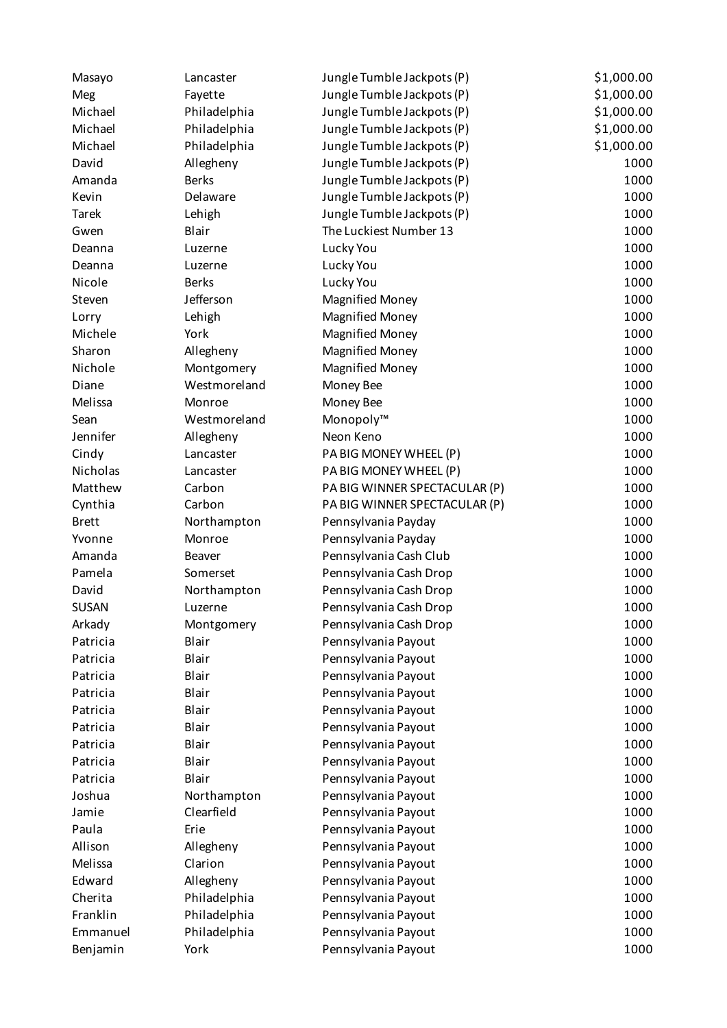| \$1,000.00<br>Fayette<br>Jungle Tumble Jackpots (P)<br>Meg<br>Michael<br>\$1,000.00<br>Philadelphia<br>Jungle Tumble Jackpots (P)<br>\$1,000.00<br>Michael<br>Philadelphia<br>Jungle Tumble Jackpots (P)<br>\$1,000.00<br>Michael<br>Philadelphia<br>Jungle Tumble Jackpots (P)<br>David<br>1000<br>Allegheny<br>Jungle Tumble Jackpots (P)<br><b>Berks</b><br>1000<br>Amanda<br>Jungle Tumble Jackpots (P)<br>Delaware<br>1000<br>Kevin<br>Jungle Tumble Jackpots (P)<br>Jungle Tumble Jackpots (P)<br>1000<br><b>Tarek</b><br>Lehigh<br>Blair<br>The Luckiest Number 13<br>1000<br>Gwen<br>1000<br>Lucky You<br>Deanna<br>Luzerne<br>1000<br>Lucky You<br>Deanna<br>Luzerne<br>Lucky You<br>1000<br>Nicole<br><b>Berks</b><br>Jefferson<br>1000<br><b>Magnified Money</b><br>Steven<br>1000<br>Lehigh<br><b>Magnified Money</b><br>Lorry<br>1000<br>Michele<br>York<br><b>Magnified Money</b><br>1000<br>Sharon<br>Allegheny<br><b>Magnified Money</b><br>Nichole<br>1000<br>Montgomery<br><b>Magnified Money</b><br>1000<br>Diane<br>Westmoreland<br>Money Bee<br>1000<br>Melissa<br>Money Bee<br>Monroe<br>1000<br>Monopoly™<br>Sean<br>Westmoreland<br>1000<br>Jennifer<br>Neon Keno<br>Allegheny<br>1000<br>PA BIG MONEY WHEEL (P)<br>Cindy<br>Lancaster<br>Nicholas<br>1000<br>PA BIG MONEY WHEEL (P)<br>Lancaster<br>PA BIG WINNER SPECTACULAR (P)<br>Matthew<br>Carbon<br>1000<br>1000<br>Cynthia<br>Carbon<br>PA BIG WINNER SPECTACULAR (P)<br>1000<br><b>Brett</b><br>Northampton<br>Pennsylvania Payday<br>1000<br>Pennsylvania Payday<br>Yvonne<br>Monroe<br>1000<br>Amanda<br>Pennsylvania Cash Club<br>Beaver<br>Pennsylvania Cash Drop<br>1000<br>Pamela<br>Somerset<br>David<br>Northampton<br>Pennsylvania Cash Drop<br>1000<br><b>SUSAN</b><br>1000<br>Pennsylvania Cash Drop<br>Luzerne<br>Arkady<br>1000<br>Montgomery<br>Pennsylvania Cash Drop<br>Patricia<br>Blair<br>Pennsylvania Payout<br>1000<br>1000<br>Patricia<br>Blair<br>Pennsylvania Payout<br>Pennsylvania Payout<br>1000<br>Blair<br>Patricia<br>1000<br>Blair<br>Pennsylvania Payout<br>Patricia<br>1000<br>Patricia<br>Blair<br>Pennsylvania Payout<br>Pennsylvania Payout<br>1000<br>Blair<br>Patricia<br>Pennsylvania Payout<br>Blair<br>1000<br>Patricia<br>1000<br>Patricia<br>Blair<br>Pennsylvania Payout<br>Blair<br>Pennsylvania Payout<br>1000<br>Patricia<br>1000<br>Joshua<br>Pennsylvania Payout<br>Northampton<br>Clearfield<br>1000<br>Jamie<br>Pennsylvania Payout<br>Erie<br>Pennsylvania Payout<br>1000<br>Paula | Masayo | Lancaster | Jungle Tumble Jackpots (P) | \$1,000.00 |
|-------------------------------------------------------------------------------------------------------------------------------------------------------------------------------------------------------------------------------------------------------------------------------------------------------------------------------------------------------------------------------------------------------------------------------------------------------------------------------------------------------------------------------------------------------------------------------------------------------------------------------------------------------------------------------------------------------------------------------------------------------------------------------------------------------------------------------------------------------------------------------------------------------------------------------------------------------------------------------------------------------------------------------------------------------------------------------------------------------------------------------------------------------------------------------------------------------------------------------------------------------------------------------------------------------------------------------------------------------------------------------------------------------------------------------------------------------------------------------------------------------------------------------------------------------------------------------------------------------------------------------------------------------------------------------------------------------------------------------------------------------------------------------------------------------------------------------------------------------------------------------------------------------------------------------------------------------------------------------------------------------------------------------------------------------------------------------------------------------------------------------------------------------------------------------------------------------------------------------------------------------------------------------------------------------------------------------------------------------------------------------------------------------------------------------------------------------------------------------------------------------------------------|--------|-----------|----------------------------|------------|
|                                                                                                                                                                                                                                                                                                                                                                                                                                                                                                                                                                                                                                                                                                                                                                                                                                                                                                                                                                                                                                                                                                                                                                                                                                                                                                                                                                                                                                                                                                                                                                                                                                                                                                                                                                                                                                                                                                                                                                                                                                                                                                                                                                                                                                                                                                                                                                                                                                                                                                                         |        |           |                            |            |
|                                                                                                                                                                                                                                                                                                                                                                                                                                                                                                                                                                                                                                                                                                                                                                                                                                                                                                                                                                                                                                                                                                                                                                                                                                                                                                                                                                                                                                                                                                                                                                                                                                                                                                                                                                                                                                                                                                                                                                                                                                                                                                                                                                                                                                                                                                                                                                                                                                                                                                                         |        |           |                            |            |
|                                                                                                                                                                                                                                                                                                                                                                                                                                                                                                                                                                                                                                                                                                                                                                                                                                                                                                                                                                                                                                                                                                                                                                                                                                                                                                                                                                                                                                                                                                                                                                                                                                                                                                                                                                                                                                                                                                                                                                                                                                                                                                                                                                                                                                                                                                                                                                                                                                                                                                                         |        |           |                            |            |
|                                                                                                                                                                                                                                                                                                                                                                                                                                                                                                                                                                                                                                                                                                                                                                                                                                                                                                                                                                                                                                                                                                                                                                                                                                                                                                                                                                                                                                                                                                                                                                                                                                                                                                                                                                                                                                                                                                                                                                                                                                                                                                                                                                                                                                                                                                                                                                                                                                                                                                                         |        |           |                            |            |
|                                                                                                                                                                                                                                                                                                                                                                                                                                                                                                                                                                                                                                                                                                                                                                                                                                                                                                                                                                                                                                                                                                                                                                                                                                                                                                                                                                                                                                                                                                                                                                                                                                                                                                                                                                                                                                                                                                                                                                                                                                                                                                                                                                                                                                                                                                                                                                                                                                                                                                                         |        |           |                            |            |
|                                                                                                                                                                                                                                                                                                                                                                                                                                                                                                                                                                                                                                                                                                                                                                                                                                                                                                                                                                                                                                                                                                                                                                                                                                                                                                                                                                                                                                                                                                                                                                                                                                                                                                                                                                                                                                                                                                                                                                                                                                                                                                                                                                                                                                                                                                                                                                                                                                                                                                                         |        |           |                            |            |
|                                                                                                                                                                                                                                                                                                                                                                                                                                                                                                                                                                                                                                                                                                                                                                                                                                                                                                                                                                                                                                                                                                                                                                                                                                                                                                                                                                                                                                                                                                                                                                                                                                                                                                                                                                                                                                                                                                                                                                                                                                                                                                                                                                                                                                                                                                                                                                                                                                                                                                                         |        |           |                            |            |
|                                                                                                                                                                                                                                                                                                                                                                                                                                                                                                                                                                                                                                                                                                                                                                                                                                                                                                                                                                                                                                                                                                                                                                                                                                                                                                                                                                                                                                                                                                                                                                                                                                                                                                                                                                                                                                                                                                                                                                                                                                                                                                                                                                                                                                                                                                                                                                                                                                                                                                                         |        |           |                            |            |
|                                                                                                                                                                                                                                                                                                                                                                                                                                                                                                                                                                                                                                                                                                                                                                                                                                                                                                                                                                                                                                                                                                                                                                                                                                                                                                                                                                                                                                                                                                                                                                                                                                                                                                                                                                                                                                                                                                                                                                                                                                                                                                                                                                                                                                                                                                                                                                                                                                                                                                                         |        |           |                            |            |
|                                                                                                                                                                                                                                                                                                                                                                                                                                                                                                                                                                                                                                                                                                                                                                                                                                                                                                                                                                                                                                                                                                                                                                                                                                                                                                                                                                                                                                                                                                                                                                                                                                                                                                                                                                                                                                                                                                                                                                                                                                                                                                                                                                                                                                                                                                                                                                                                                                                                                                                         |        |           |                            |            |
|                                                                                                                                                                                                                                                                                                                                                                                                                                                                                                                                                                                                                                                                                                                                                                                                                                                                                                                                                                                                                                                                                                                                                                                                                                                                                                                                                                                                                                                                                                                                                                                                                                                                                                                                                                                                                                                                                                                                                                                                                                                                                                                                                                                                                                                                                                                                                                                                                                                                                                                         |        |           |                            |            |
|                                                                                                                                                                                                                                                                                                                                                                                                                                                                                                                                                                                                                                                                                                                                                                                                                                                                                                                                                                                                                                                                                                                                                                                                                                                                                                                                                                                                                                                                                                                                                                                                                                                                                                                                                                                                                                                                                                                                                                                                                                                                                                                                                                                                                                                                                                                                                                                                                                                                                                                         |        |           |                            |            |
|                                                                                                                                                                                                                                                                                                                                                                                                                                                                                                                                                                                                                                                                                                                                                                                                                                                                                                                                                                                                                                                                                                                                                                                                                                                                                                                                                                                                                                                                                                                                                                                                                                                                                                                                                                                                                                                                                                                                                                                                                                                                                                                                                                                                                                                                                                                                                                                                                                                                                                                         |        |           |                            |            |
|                                                                                                                                                                                                                                                                                                                                                                                                                                                                                                                                                                                                                                                                                                                                                                                                                                                                                                                                                                                                                                                                                                                                                                                                                                                                                                                                                                                                                                                                                                                                                                                                                                                                                                                                                                                                                                                                                                                                                                                                                                                                                                                                                                                                                                                                                                                                                                                                                                                                                                                         |        |           |                            |            |
|                                                                                                                                                                                                                                                                                                                                                                                                                                                                                                                                                                                                                                                                                                                                                                                                                                                                                                                                                                                                                                                                                                                                                                                                                                                                                                                                                                                                                                                                                                                                                                                                                                                                                                                                                                                                                                                                                                                                                                                                                                                                                                                                                                                                                                                                                                                                                                                                                                                                                                                         |        |           |                            |            |
|                                                                                                                                                                                                                                                                                                                                                                                                                                                                                                                                                                                                                                                                                                                                                                                                                                                                                                                                                                                                                                                                                                                                                                                                                                                                                                                                                                                                                                                                                                                                                                                                                                                                                                                                                                                                                                                                                                                                                                                                                                                                                                                                                                                                                                                                                                                                                                                                                                                                                                                         |        |           |                            |            |
|                                                                                                                                                                                                                                                                                                                                                                                                                                                                                                                                                                                                                                                                                                                                                                                                                                                                                                                                                                                                                                                                                                                                                                                                                                                                                                                                                                                                                                                                                                                                                                                                                                                                                                                                                                                                                                                                                                                                                                                                                                                                                                                                                                                                                                                                                                                                                                                                                                                                                                                         |        |           |                            |            |
|                                                                                                                                                                                                                                                                                                                                                                                                                                                                                                                                                                                                                                                                                                                                                                                                                                                                                                                                                                                                                                                                                                                                                                                                                                                                                                                                                                                                                                                                                                                                                                                                                                                                                                                                                                                                                                                                                                                                                                                                                                                                                                                                                                                                                                                                                                                                                                                                                                                                                                                         |        |           |                            |            |
|                                                                                                                                                                                                                                                                                                                                                                                                                                                                                                                                                                                                                                                                                                                                                                                                                                                                                                                                                                                                                                                                                                                                                                                                                                                                                                                                                                                                                                                                                                                                                                                                                                                                                                                                                                                                                                                                                                                                                                                                                                                                                                                                                                                                                                                                                                                                                                                                                                                                                                                         |        |           |                            |            |
|                                                                                                                                                                                                                                                                                                                                                                                                                                                                                                                                                                                                                                                                                                                                                                                                                                                                                                                                                                                                                                                                                                                                                                                                                                                                                                                                                                                                                                                                                                                                                                                                                                                                                                                                                                                                                                                                                                                                                                                                                                                                                                                                                                                                                                                                                                                                                                                                                                                                                                                         |        |           |                            |            |
|                                                                                                                                                                                                                                                                                                                                                                                                                                                                                                                                                                                                                                                                                                                                                                                                                                                                                                                                                                                                                                                                                                                                                                                                                                                                                                                                                                                                                                                                                                                                                                                                                                                                                                                                                                                                                                                                                                                                                                                                                                                                                                                                                                                                                                                                                                                                                                                                                                                                                                                         |        |           |                            |            |
|                                                                                                                                                                                                                                                                                                                                                                                                                                                                                                                                                                                                                                                                                                                                                                                                                                                                                                                                                                                                                                                                                                                                                                                                                                                                                                                                                                                                                                                                                                                                                                                                                                                                                                                                                                                                                                                                                                                                                                                                                                                                                                                                                                                                                                                                                                                                                                                                                                                                                                                         |        |           |                            |            |
|                                                                                                                                                                                                                                                                                                                                                                                                                                                                                                                                                                                                                                                                                                                                                                                                                                                                                                                                                                                                                                                                                                                                                                                                                                                                                                                                                                                                                                                                                                                                                                                                                                                                                                                                                                                                                                                                                                                                                                                                                                                                                                                                                                                                                                                                                                                                                                                                                                                                                                                         |        |           |                            |            |
|                                                                                                                                                                                                                                                                                                                                                                                                                                                                                                                                                                                                                                                                                                                                                                                                                                                                                                                                                                                                                                                                                                                                                                                                                                                                                                                                                                                                                                                                                                                                                                                                                                                                                                                                                                                                                                                                                                                                                                                                                                                                                                                                                                                                                                                                                                                                                                                                                                                                                                                         |        |           |                            |            |
|                                                                                                                                                                                                                                                                                                                                                                                                                                                                                                                                                                                                                                                                                                                                                                                                                                                                                                                                                                                                                                                                                                                                                                                                                                                                                                                                                                                                                                                                                                                                                                                                                                                                                                                                                                                                                                                                                                                                                                                                                                                                                                                                                                                                                                                                                                                                                                                                                                                                                                                         |        |           |                            |            |
|                                                                                                                                                                                                                                                                                                                                                                                                                                                                                                                                                                                                                                                                                                                                                                                                                                                                                                                                                                                                                                                                                                                                                                                                                                                                                                                                                                                                                                                                                                                                                                                                                                                                                                                                                                                                                                                                                                                                                                                                                                                                                                                                                                                                                                                                                                                                                                                                                                                                                                                         |        |           |                            |            |
|                                                                                                                                                                                                                                                                                                                                                                                                                                                                                                                                                                                                                                                                                                                                                                                                                                                                                                                                                                                                                                                                                                                                                                                                                                                                                                                                                                                                                                                                                                                                                                                                                                                                                                                                                                                                                                                                                                                                                                                                                                                                                                                                                                                                                                                                                                                                                                                                                                                                                                                         |        |           |                            |            |
|                                                                                                                                                                                                                                                                                                                                                                                                                                                                                                                                                                                                                                                                                                                                                                                                                                                                                                                                                                                                                                                                                                                                                                                                                                                                                                                                                                                                                                                                                                                                                                                                                                                                                                                                                                                                                                                                                                                                                                                                                                                                                                                                                                                                                                                                                                                                                                                                                                                                                                                         |        |           |                            |            |
|                                                                                                                                                                                                                                                                                                                                                                                                                                                                                                                                                                                                                                                                                                                                                                                                                                                                                                                                                                                                                                                                                                                                                                                                                                                                                                                                                                                                                                                                                                                                                                                                                                                                                                                                                                                                                                                                                                                                                                                                                                                                                                                                                                                                                                                                                                                                                                                                                                                                                                                         |        |           |                            |            |
|                                                                                                                                                                                                                                                                                                                                                                                                                                                                                                                                                                                                                                                                                                                                                                                                                                                                                                                                                                                                                                                                                                                                                                                                                                                                                                                                                                                                                                                                                                                                                                                                                                                                                                                                                                                                                                                                                                                                                                                                                                                                                                                                                                                                                                                                                                                                                                                                                                                                                                                         |        |           |                            |            |
|                                                                                                                                                                                                                                                                                                                                                                                                                                                                                                                                                                                                                                                                                                                                                                                                                                                                                                                                                                                                                                                                                                                                                                                                                                                                                                                                                                                                                                                                                                                                                                                                                                                                                                                                                                                                                                                                                                                                                                                                                                                                                                                                                                                                                                                                                                                                                                                                                                                                                                                         |        |           |                            |            |
|                                                                                                                                                                                                                                                                                                                                                                                                                                                                                                                                                                                                                                                                                                                                                                                                                                                                                                                                                                                                                                                                                                                                                                                                                                                                                                                                                                                                                                                                                                                                                                                                                                                                                                                                                                                                                                                                                                                                                                                                                                                                                                                                                                                                                                                                                                                                                                                                                                                                                                                         |        |           |                            |            |
|                                                                                                                                                                                                                                                                                                                                                                                                                                                                                                                                                                                                                                                                                                                                                                                                                                                                                                                                                                                                                                                                                                                                                                                                                                                                                                                                                                                                                                                                                                                                                                                                                                                                                                                                                                                                                                                                                                                                                                                                                                                                                                                                                                                                                                                                                                                                                                                                                                                                                                                         |        |           |                            |            |
|                                                                                                                                                                                                                                                                                                                                                                                                                                                                                                                                                                                                                                                                                                                                                                                                                                                                                                                                                                                                                                                                                                                                                                                                                                                                                                                                                                                                                                                                                                                                                                                                                                                                                                                                                                                                                                                                                                                                                                                                                                                                                                                                                                                                                                                                                                                                                                                                                                                                                                                         |        |           |                            |            |
|                                                                                                                                                                                                                                                                                                                                                                                                                                                                                                                                                                                                                                                                                                                                                                                                                                                                                                                                                                                                                                                                                                                                                                                                                                                                                                                                                                                                                                                                                                                                                                                                                                                                                                                                                                                                                                                                                                                                                                                                                                                                                                                                                                                                                                                                                                                                                                                                                                                                                                                         |        |           |                            |            |
|                                                                                                                                                                                                                                                                                                                                                                                                                                                                                                                                                                                                                                                                                                                                                                                                                                                                                                                                                                                                                                                                                                                                                                                                                                                                                                                                                                                                                                                                                                                                                                                                                                                                                                                                                                                                                                                                                                                                                                                                                                                                                                                                                                                                                                                                                                                                                                                                                                                                                                                         |        |           |                            |            |
|                                                                                                                                                                                                                                                                                                                                                                                                                                                                                                                                                                                                                                                                                                                                                                                                                                                                                                                                                                                                                                                                                                                                                                                                                                                                                                                                                                                                                                                                                                                                                                                                                                                                                                                                                                                                                                                                                                                                                                                                                                                                                                                                                                                                                                                                                                                                                                                                                                                                                                                         |        |           |                            |            |
|                                                                                                                                                                                                                                                                                                                                                                                                                                                                                                                                                                                                                                                                                                                                                                                                                                                                                                                                                                                                                                                                                                                                                                                                                                                                                                                                                                                                                                                                                                                                                                                                                                                                                                                                                                                                                                                                                                                                                                                                                                                                                                                                                                                                                                                                                                                                                                                                                                                                                                                         |        |           |                            |            |
|                                                                                                                                                                                                                                                                                                                                                                                                                                                                                                                                                                                                                                                                                                                                                                                                                                                                                                                                                                                                                                                                                                                                                                                                                                                                                                                                                                                                                                                                                                                                                                                                                                                                                                                                                                                                                                                                                                                                                                                                                                                                                                                                                                                                                                                                                                                                                                                                                                                                                                                         |        |           |                            |            |
|                                                                                                                                                                                                                                                                                                                                                                                                                                                                                                                                                                                                                                                                                                                                                                                                                                                                                                                                                                                                                                                                                                                                                                                                                                                                                                                                                                                                                                                                                                                                                                                                                                                                                                                                                                                                                                                                                                                                                                                                                                                                                                                                                                                                                                                                                                                                                                                                                                                                                                                         |        |           |                            |            |
|                                                                                                                                                                                                                                                                                                                                                                                                                                                                                                                                                                                                                                                                                                                                                                                                                                                                                                                                                                                                                                                                                                                                                                                                                                                                                                                                                                                                                                                                                                                                                                                                                                                                                                                                                                                                                                                                                                                                                                                                                                                                                                                                                                                                                                                                                                                                                                                                                                                                                                                         |        |           |                            |            |
|                                                                                                                                                                                                                                                                                                                                                                                                                                                                                                                                                                                                                                                                                                                                                                                                                                                                                                                                                                                                                                                                                                                                                                                                                                                                                                                                                                                                                                                                                                                                                                                                                                                                                                                                                                                                                                                                                                                                                                                                                                                                                                                                                                                                                                                                                                                                                                                                                                                                                                                         |        |           |                            |            |
|                                                                                                                                                                                                                                                                                                                                                                                                                                                                                                                                                                                                                                                                                                                                                                                                                                                                                                                                                                                                                                                                                                                                                                                                                                                                                                                                                                                                                                                                                                                                                                                                                                                                                                                                                                                                                                                                                                                                                                                                                                                                                                                                                                                                                                                                                                                                                                                                                                                                                                                         |        |           |                            |            |
|                                                                                                                                                                                                                                                                                                                                                                                                                                                                                                                                                                                                                                                                                                                                                                                                                                                                                                                                                                                                                                                                                                                                                                                                                                                                                                                                                                                                                                                                                                                                                                                                                                                                                                                                                                                                                                                                                                                                                                                                                                                                                                                                                                                                                                                                                                                                                                                                                                                                                                                         |        |           |                            |            |
| Allison<br>Pennsylvania Payout<br>1000<br>Allegheny                                                                                                                                                                                                                                                                                                                                                                                                                                                                                                                                                                                                                                                                                                                                                                                                                                                                                                                                                                                                                                                                                                                                                                                                                                                                                                                                                                                                                                                                                                                                                                                                                                                                                                                                                                                                                                                                                                                                                                                                                                                                                                                                                                                                                                                                                                                                                                                                                                                                     |        |           |                            |            |
| Melissa<br>1000<br>Clarion<br>Pennsylvania Payout                                                                                                                                                                                                                                                                                                                                                                                                                                                                                                                                                                                                                                                                                                                                                                                                                                                                                                                                                                                                                                                                                                                                                                                                                                                                                                                                                                                                                                                                                                                                                                                                                                                                                                                                                                                                                                                                                                                                                                                                                                                                                                                                                                                                                                                                                                                                                                                                                                                                       |        |           |                            |            |
| Edward<br>Pennsylvania Payout<br>1000<br>Allegheny                                                                                                                                                                                                                                                                                                                                                                                                                                                                                                                                                                                                                                                                                                                                                                                                                                                                                                                                                                                                                                                                                                                                                                                                                                                                                                                                                                                                                                                                                                                                                                                                                                                                                                                                                                                                                                                                                                                                                                                                                                                                                                                                                                                                                                                                                                                                                                                                                                                                      |        |           |                            |            |
| Pennsylvania Payout<br>1000<br>Cherita<br>Philadelphia                                                                                                                                                                                                                                                                                                                                                                                                                                                                                                                                                                                                                                                                                                                                                                                                                                                                                                                                                                                                                                                                                                                                                                                                                                                                                                                                                                                                                                                                                                                                                                                                                                                                                                                                                                                                                                                                                                                                                                                                                                                                                                                                                                                                                                                                                                                                                                                                                                                                  |        |           |                            |            |
| Franklin<br>Philadelphia<br>1000<br>Pennsylvania Payout                                                                                                                                                                                                                                                                                                                                                                                                                                                                                                                                                                                                                                                                                                                                                                                                                                                                                                                                                                                                                                                                                                                                                                                                                                                                                                                                                                                                                                                                                                                                                                                                                                                                                                                                                                                                                                                                                                                                                                                                                                                                                                                                                                                                                                                                                                                                                                                                                                                                 |        |           |                            |            |
| Philadelphia<br>Pennsylvania Payout<br>1000<br>Emmanuel                                                                                                                                                                                                                                                                                                                                                                                                                                                                                                                                                                                                                                                                                                                                                                                                                                                                                                                                                                                                                                                                                                                                                                                                                                                                                                                                                                                                                                                                                                                                                                                                                                                                                                                                                                                                                                                                                                                                                                                                                                                                                                                                                                                                                                                                                                                                                                                                                                                                 |        |           |                            |            |
| York<br>Pennsylvania Payout<br>1000<br>Benjamin                                                                                                                                                                                                                                                                                                                                                                                                                                                                                                                                                                                                                                                                                                                                                                                                                                                                                                                                                                                                                                                                                                                                                                                                                                                                                                                                                                                                                                                                                                                                                                                                                                                                                                                                                                                                                                                                                                                                                                                                                                                                                                                                                                                                                                                                                                                                                                                                                                                                         |        |           |                            |            |